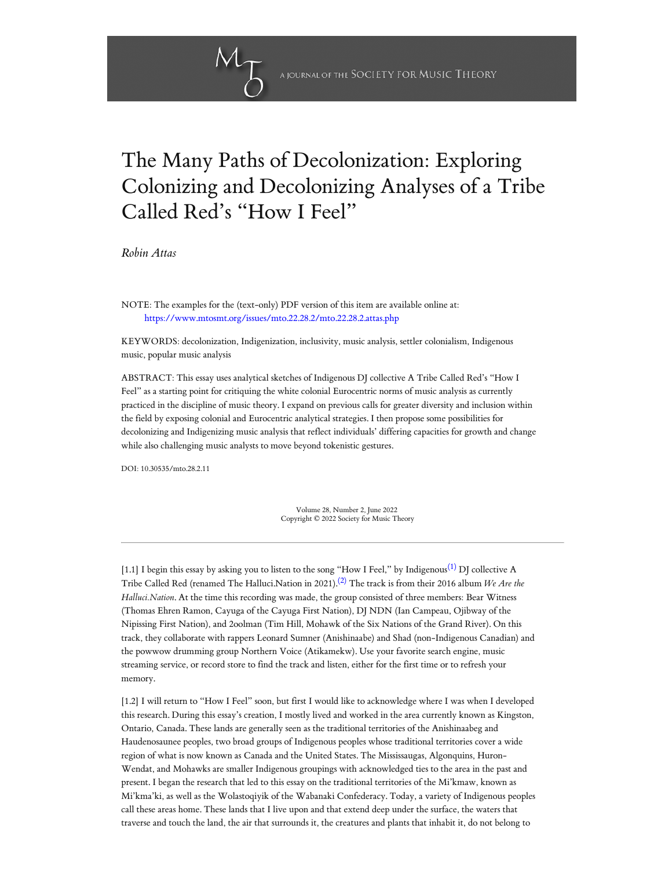# The Many Paths of Decolonization: Exploring Colonizing and Decolonizing Analyses of a Tribe Called Red's "How I Feel"

*[Robin Attas](#page-10-0)*

NOTE: The examples for the (text-only) PDF version of this item are available online at: <https://www.mtosmt.org/issues/mto.22.28.2/mto.22.28.2.attas.php>

KEYWORDS: decolonization, Indigenization, inclusivity, music analysis, settler colonialism, Indigenous music, popular music analysis

ABSTRACT: This essay uses analytical sketches of Indigenous DJ collective A Tribe Called Red's "How I Feel" as a starting point for critiquing the white colonial Eurocentric norms of music analysis as currently practiced in the discipline of music theory. I expand on previous calls for greater diversity and inclusion within the field by exposing colonial and Eurocentric analytical strategies. I then propose some possibilities for decolonizing and Indigenizing music analysis that reflect individuals' differing capacities for growth and change while also challenging music analysts to move beyond tokenistic gestures.

DOI: 10.30535/mto.28.2.11

<span id="page-0-1"></span><span id="page-0-0"></span>Volume 28, Number 2, June 2022 Copyright © 2022 Society for Music Theory

[1.1] I begin this essay by asking you to listen to the song "How I Feel," by Indigenous $^{(1)}$  $^{(1)}$  $^{(1)}$  DJ collective A Tribe Called Red (renamed The Halluci.Nation in 2021). [\(2\)](#page-14-1) The track is from their 2016 album *We Are the Halluci.Nation*. At the time this recording was made, the group consisted of three members: Bear Witness (Thomas Ehren Ramon, Cayuga of the Cayuga First Nation), DJ NDN (Ian Campeau, Ojibway of the Nipissing First Nation), and 2oolman (Tim Hill, Mohawk of the Six Nations of the Grand River). On this track, they collaborate with rappers Leonard Sumner (Anishinaabe) and Shad (non-Indigenous Canadian) and the powwow drumming group Northern Voice (Atikamekw). Use your favorite search engine, music streaming service, or record store to find the track and listen, either for the first time or to refresh your memory.

[1.2] I will return to "How I Feel" soon, but first I would like to acknowledge where I was when I developed this research. During this essay's creation, I mostly lived and worked in the area currently known as Kingston, Ontario, Canada. These lands are generally seen as the traditional territories of the Anishinaabeg and Haudenosaunee peoples, two broad groups of Indigenous peoples whose traditional territories cover a wide region of what is now known as Canada and the United States. The Mississaugas, Algonquins, Huron- Wendat, and Mohawks are smaller Indigenous groupings with acknowledged ties to the area in the past and present. I began the research that led to this essay on the traditional territories of the Mi'kmaw, known as Mi'kma'ki, as well as the Wolastoqiyik of the Wabanaki Confederacy. Today, a variety of Indigenous peoples call these areas home. These lands that I live upon and that extend deep under the surface, the waters that traverse and touch the land, the air that surrounds it, the creatures and plants that inhabit it, do not belong to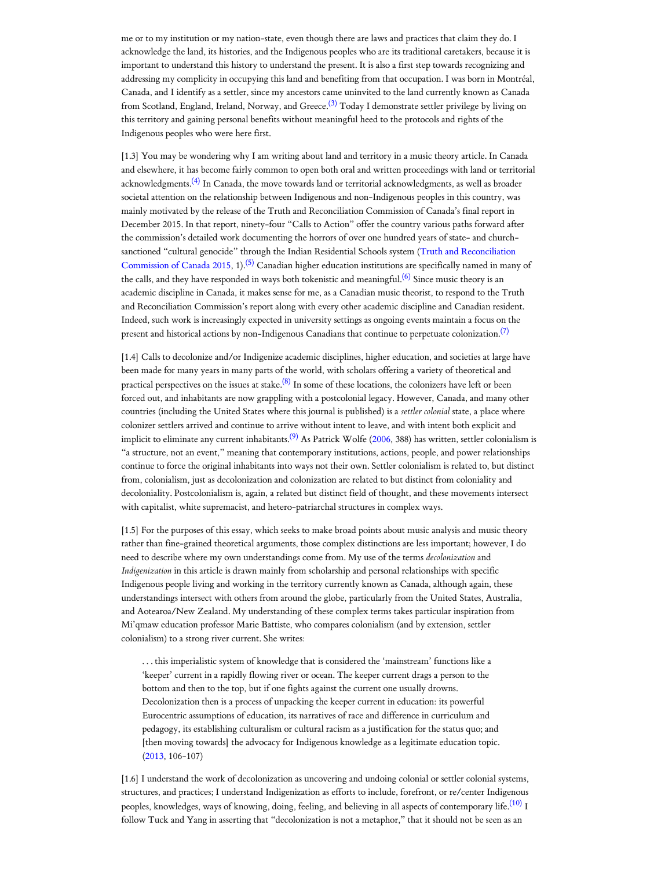me or to my institution or my nation-state, even though there are laws and practices that claim they do. I acknowledge the land, its histories, and the Indigenous peoples who are its traditional caretakers, because it is important to understand this history to understand the present. It is also a first step towards recognizing and addressing my complicity in occupying this land and benefiting from that occupation. I was born in Montréal, Canada, and I identify as a settler, since my ancestors came uninvited to the land currently known as Canada from Scotland, England, Ireland, Norway, and Greece.<sup>[\(3\)](#page-15-0)</sup> Today I demonstrate settler privilege by living on this territory and gaining personal benefits without meaningful heed to the protocols and rights of the Indigenous peoples who were here first.

<span id="page-1-1"></span><span id="page-1-0"></span>[1.3] You may be wondering why I am writing about land and territory in a music theory article. In Canada and elsewhere, it has become fairly common to open both oral and written proceedings with land or territorial acknowledgments.<sup>[\(4\)](#page-15-1)</sup> In Canada, the move towards land or territorial acknowledgments, as well as broader societal attention on the relationship between Indigenous and non-Indigenous peoples in this country, was mainly motivated by the release of the Truth and Reconciliation Commission of Canada's final report in December 2015. In that report, ninety-four "Calls to Action" offer the country various paths forward after the commission's detailed work documenting the horrors of over one hundred years of state- and church[sanctioned "cultural](#page-14-2) genocide" through the Indian Residential Schools system (Truth and Reconciliation Commission of Canada 2015, 1). [\(5\)](#page-15-2) Canadian higher education institutions are specifically named in many of the calls, and they have responded in ways both tokenistic and meaningful. $^{(6)}$  $^{(6)}$  $^{(6)}$  Since music theory is an academic discipline in Canada, it makes sense for me, as a Canadian music theorist, to respond to the Truth and Reconciliation Commission's report along with every other academic discipline and Canadian resident. Indeed, such work is increasingly expected in university settings as ongoing events maintain a focus on the present and historical actions by non-Indigenous Canadians that continue to perpetuate colonization. $^{(7)}$  $^{(7)}$  $^{(7)}$ 

<span id="page-1-6"></span><span id="page-1-5"></span><span id="page-1-4"></span><span id="page-1-3"></span><span id="page-1-2"></span>[1.4] Calls to decolonize and/or Indigenize academic disciplines, higher education, and societies at large have been made for many years in many parts of the world, with scholars offering a variety of theoretical and practical perspectives on the issues at stake.<sup>[\(8\)](#page-15-5)</sup> In some of these locations, the colonizers have left or been forced out, and inhabitants are now grappling with a postcolonial legacy. However, Canada, and many other countries (including the United States where this journal is published) is a *settler colonial* state, a place where colonizer settlers arrived and continue to arrive without intent to leave, and with intent both explicit and implicit to eliminate any current inhabitants.<sup>[\(9\)](#page-15-6)</sup> As Patrick Wolfe [\(2006,](#page-14-3) 388) has written, settler colonialism is "a structure, not an event," meaning that contemporary institutions, actions, people, and power relationships continue to force the original inhabitants into ways not their own. Settler colonialism is related to, but distinct from, colonialism, just as decolonization and colonization are related to but distinct from coloniality and decoloniality. Postcolonialism is, again, a related but distinct field of thought, and these movements intersect with capitalist, white supremacist, and hetero-patriarchal structures in complex ways.

[1.5] For the purposes of this essay, which seeks to make broad points about music analysis and music theory rather than fine-grained theoretical arguments, those complex distinctions are less important; however, I do need to describe where my own understandings come from. My use of the terms *decolonization* and *Indigenization* in this article is drawn mainly from scholarship and personal relationships with specific Indigenous people living and working in the territory currently known as Canada, although again, these understandings intersect with others from around the globe, particularly from the United States, Australia, and Aotearoa/New Zealand. My understanding of these complex terms takes particular inspiration from Mi'qmaw education professor Marie Battiste, who compares colonialism (and by extension, settler colonialism) to a strong river current. She writes:

. . . this imperialistic system of knowledge that is considered the 'mainstream' functions like a 'keeper' current in a rapidly flowing river or ocean. The keeper current drags a person to the bottom and then to the top, but if one fights against the current one usually drowns. Decolonization then is a process of unpacking the keeper current in education: its powerful Eurocentric assumptions of education, its narratives of race and difference in curriculum and pedagogy, its establishing culturalism or cultural racism as a justification for the status quo; and [then moving towards] the advocacy for Indigenous knowledge as a legitimate education topic. [\(2013,](#page-10-1) 106-107)

<span id="page-1-7"></span>[1.6] I understand the work of decolonization as uncovering and undoing colonial or settler colonial systems, structures, and practices; I understand Indigenization as efforts to include, forefront, or re/center Indigenous peoples, knowledges, ways of knowing, doing, feeling, and believing in all aspects of contemporary life. $^{(10)}$  $^{(10)}$  $^{(10)}$  I follow Tuck and Yang in asserting that "decolonization is not a metaphor," that it should not be seen as an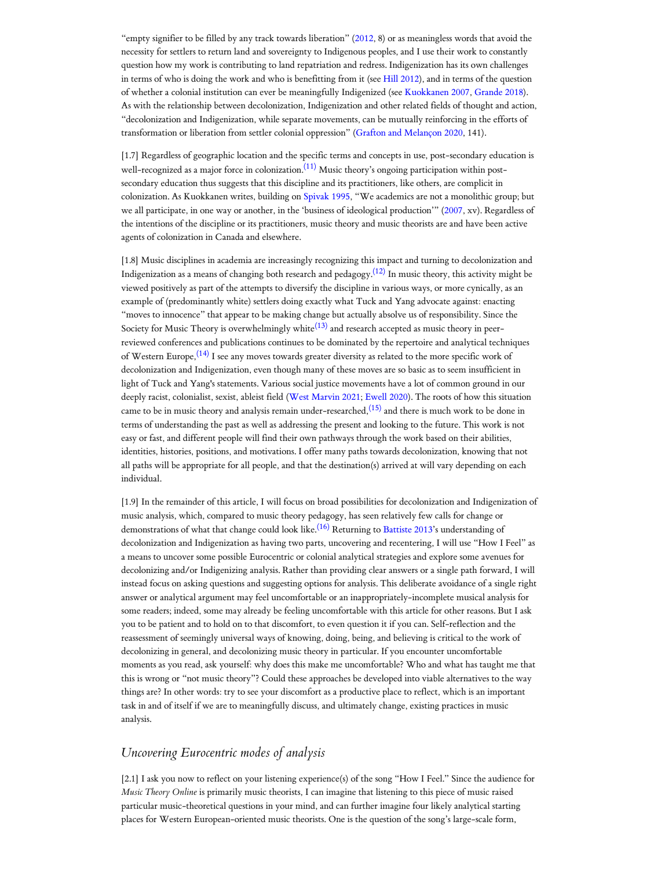"empty signifier to be filled by any track towards liberation" ([2012,](#page-14-4) 8) or as meaningless words that avoid the necessity for settlers to return land and sovereignty to Indigenous peoples, and I use their work to constantly question how my work is contributing to land repatriation and redress. Indigenization has its own challenges in terms of who is doing the work and who is benefitting from it (see Hill [2012\)](#page-12-0), and in terms of the question of whether a colonial institution can ever be meaningfully Indigenized (see [Kuokkanen](#page-12-1) 2007, [Grande](#page-12-2) 2018). As with the relationship between decolonization, Indigenization and other related fields of thought and action, "decolonization and Indigenization, while separate movements, can be mutually reinforcing in the efforts of transformation or liberation from settler colonial oppression" (Grafton [and Melançon](#page-12-3) 2020, 141).

<span id="page-2-0"></span>[1.7] Regardless of geographic location and the specific terms and concepts in use, post-secondary education is well-recognized as a major force in colonization.<sup>[\(11\)](#page-15-8)</sup> Music theory's ongoing participation within postsecondary education thus suggests that this discipline and its practitioners, like others, are complicit in colonization. As Kuokkanen writes, building on [Spivak 1995](#page-14-5), "We academics are not a monolithic group; but we all participate, in one way or another, in the 'business of ideological production'" [\(2007](#page-12-1), xv). Regardless of the intentions of the discipline or its practitioners, music theory and music theorists are and have been active agents of colonization in Canada and elsewhere.

<span id="page-2-3"></span><span id="page-2-2"></span><span id="page-2-1"></span>[1.8] Music disciplines in academia are increasingly recognizing this impact and turning to decolonization and Indigenization as a means of changing both research and pedagogy. $^{(12)}$  $^{(12)}$  $^{(12)}$  In music theory, this activity might be viewed positively as part of the attempts to diversify the discipline in various ways, or more cynically, as an example of (predominantly white) settlers doing exactly what Tuck and Yang advocate against: enacting "moves to innocence" that appear to be making change but actually absolve us of responsibility. Since the Society for Music Theory is overwhelmingly white $^{(13)}$  $^{(13)}$  $^{(13)}$  and research accepted as music theory in peerreviewed conferences and publications continues to be dominated by the repertoire and analytical techniques of Western Europe, $^{(14)}$  $^{(14)}$  $^{(14)}$  I see any moves towards greater diversity as related to the more specific work of decolonization and Indigenization, even though many of these moves are so basic as to seem insufficient in light of Tuck and Yang's statements. Various social justice movements have a lot of common ground in our deeply racist, colonialist, sexist, ableist field (West [Marvin](#page-14-6) 2021; [Ewell](#page-12-4) 2020). The roots of how this situation came to be in music theory and analysis remain under-researched,  $(15)$  and there is much work to be done in terms of understanding the past as well as addressing the present and looking to the future. This work is not easy or fast, and different people will find their own pathways through the work based on their abilities, identities, histories, positions, and motivations. I offer many paths towards decolonization, knowing that not all paths will be appropriate for all people, and that the destination(s) arrived at will vary depending on each individual.

<span id="page-2-5"></span><span id="page-2-4"></span>[1.9] In the remainder of this article, I will focus on broad possibilities for decolonization and Indigenization of music analysis, which, compared to music theory pedagogy, has seen relatively few calls for change or demonstrations of what that change could look like. $^{(16)}$  $^{(16)}$  $^{(16)}$  Returning to [Battiste](#page-10-1) 2013's understanding of decolonization and Indigenization as having two parts, uncovering and recentering, I will use "How I Feel" as a means to uncover some possible Eurocentric or colonial analytical strategies and explore some avenues for decolonizing and/or Indigenizing analysis. Rather than providing clear answers or a single path forward, I will instead focus on asking questions and suggesting options for analysis. This deliberate avoidance of a single right answer or analytical argument may feel uncomfortable or an inappropriately-incomplete musical analysis for some readers; indeed, some may already be feeling uncomfortable with this article for other reasons. But I ask you to be patient and to hold on to that discomfort, to even question it if you can. Self-reflection and the reassessment of seemingly universal ways of knowing, doing, being, and believing is critical to the work of decolonizing in general, and decolonizing music theory in particular. If you encounter uncomfortable moments as you read, ask yourself: why does this make me uncomfortable? Who and what has taught me that this is wrong or "not music theory"? Could these approaches be developed into viable alternatives to the way things are? In other words: try to see your discomfort as a productive place to reflect, which is an important task in and of itself if we are to meaningfully discuss, and ultimately change, existing practices in music analysis.

# *Uncovering Eurocentric modes of analysis*

[2.1] I ask you now to reflect on your listening experience(s) of the song "How I Feel." Since the audience for *Music Theory Online* is primarily music theorists, I can imagine that listening to this piece of music raised particular music-theoretical questions in your mind, and can further imagine four likely analytical starting places for Western European-oriented music theorists. One is the question of the song's large-scale form,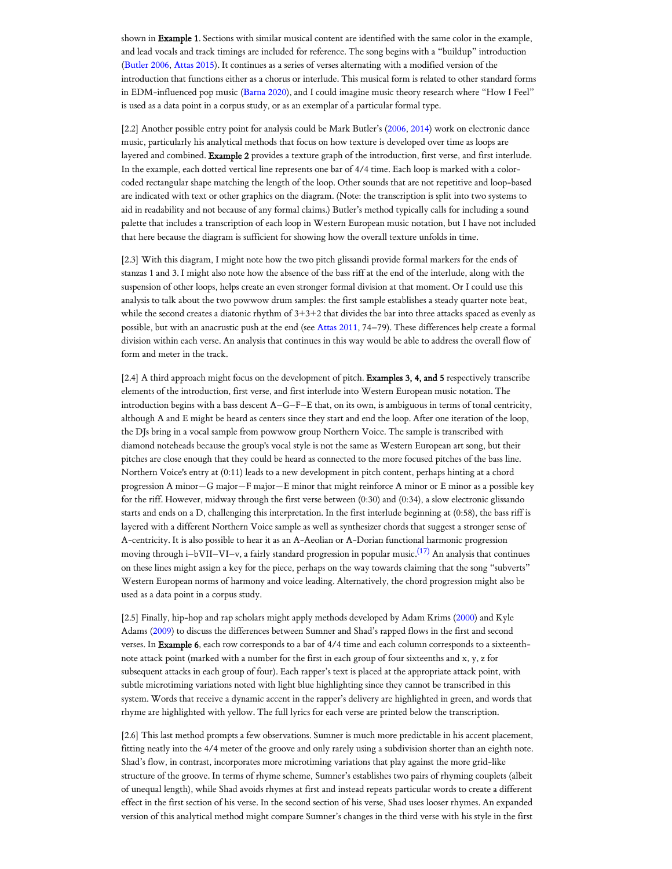shown in Example 1. Sections with similar musical content are identified with the same color in the example, and lead vocals and track timings are included for reference. The song begins with a "buildup" introduction [\(Butler](#page-11-0) 2006, [Attas](#page-10-2) 2015). It continues as a series of verses alternating with a modified version of the introduction that functions either as a chorus or interlude. This musical form is related to other standard forms in EDM-influenced pop music [\(Barna](#page-10-3) 2020), and I could imagine music theory research where "How I Feel" is used as a data point in a corpus study, or as an exemplar of a particular formal type.

[2.2] Another possible entry point for analysis could be Mark Butler's ([2006](#page-11-0), [2014\)](#page-11-1) work on electronic dance music, particularly his analytical methods that focus on how texture is developed over time as loops are layered and combined. Example 2 provides a texture graph of the introduction, first verse, and first interlude. In the example, each dotted vertical line represents one bar of 4/4 time. Each loop is marked with a colorcoded rectangular shape matching the length of the loop. Other sounds that are not repetitive and loop-based are indicated with text or other graphics on the diagram. (Note: the transcription is split into two systems to aid in readability and not because of any formal claims.) Butler's method typically calls for including a sound palette that includes a transcription of each loop in Western European music notation, but I have not included that here because the diagram is sufficient for showing how the overall texture unfolds in time.

[2.3] With this diagram, I might note how the two pitch glissandi provide formal markers for the ends of stanzas 1 and 3. I might also note how the absence of the bass riff at the end of the interlude, along with the suspension of other loops, helps create an even stronger formal division at that moment. Or I could use this analysis to talk about the two powwow drum samples: the first sample establishes a steady quarter note beat, while the second creates a diatonic rhythm of 3+3+2 that divides the bar into three attacks spaced as evenly as possible, but with an anacrustic push at the end (see [Attas](#page-10-4) 2011, 74–79). These differences help create a formal division within each verse. An analysis that continues in this way would be able to address the overall flow of form and meter in the track.

[2.4] A third approach might focus on the development of pitch. Examples 3, 4, and 5 respectively transcribe elements of the introduction, first verse, and first interlude into Western European music notation. The introduction begins with a bass descent A–G–F–E that, on its own, is ambiguous in terms of tonal centricity, although A and E might be heard as centers since they start and end the loop. After one iteration of the loop, the DJs bring in a vocal sample from powwow group Northern Voice. The sample is transcribed with diamond noteheads because the group's vocal style is not the same as Western European art song, but their pitches are close enough that they could be heard as connected to the more focused pitches of the bass line. Northern Voice's entry at (0:11) leads to a new development in pitch content, perhaps hinting at a chord progression A minor—G major—F major—E minor that might reinforce A minor or E minor as a possible key for the riff. However, midway through the first verse between (0:30) and (0:34), a slow electronic glissando starts and ends on a D, challenging this interpretation. In the first interlude beginning at (0:58), the bass riff is layered with a different Northern Voice sample as well as synthesizer chords that suggest a stronger sense of A-centricity. It is also possible to hear it as an A-Aeolian or A-Dorian functional harmonic progression moving through i–bVII–VI–v, a fairly standard progression in popular music.<sup>[\(17\)](#page-16-1)</sup> An analysis that continues on these lines might assign a key for the piece, perhaps on the way towards claiming that the song "subverts" Western European norms of harmony and voice leading. Alternatively, the chord progression might also be used as a data point in a corpus study.

<span id="page-3-0"></span>[2.5] Finally, hip-hop and rap scholars might apply methods developed by Adam Krims [\(2000](#page-12-5)) and Kyle Adams ([2009](#page-10-5)) to discuss the differences between Sumner and Shad's rapped flows in the first and second verses. In Example 6, each row corresponds to a bar of 4/4 time and each column corresponds to a sixteenthnote attack point (marked with a number for the first in each group of four sixteenths and x, y, z for subsequent attacks in each group of four). Each rapper's text is placed at the appropriate attack point, with subtle microtiming variations noted with light blue highlighting since they cannot be transcribed in this system. Words that receive a dynamic accent in the rapper's delivery are highlighted in green, and words that rhyme are highlighted with yellow. The full lyrics for each verse are printed below the transcription.

[2.6] This last method prompts a few observations. Sumner is much more predictable in his accent placement, fitting neatly into the 4/4 meter of the groove and only rarely using a subdivision shorter than an eighth note. Shad's flow, in contrast, incorporates more microtiming variations that play against the more grid-like structure of the groove. In terms of rhyme scheme, Sumner's establishes two pairs of rhyming couplets (albeit of unequal length), while Shad avoids rhymes at first and instead repeats particular words to create a different effect in the first section of his verse. In the second section of his verse, Shad uses looser rhymes. An expanded version of this analytical method might compare Sumner's changes in the third verse with his style in the first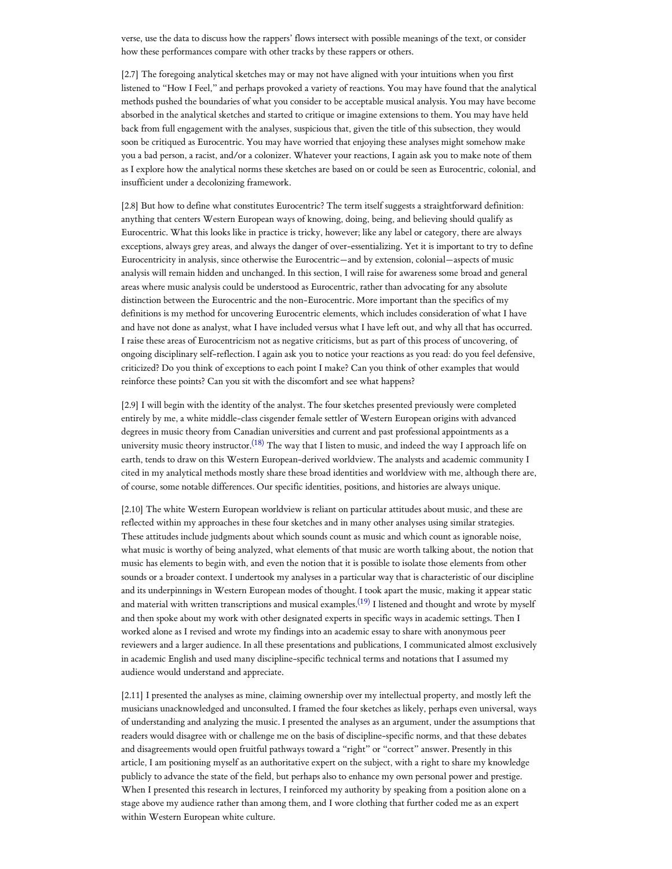verse, use the data to discuss how the rappers' flows intersect with possible meanings of the text, or consider how these performances compare with other tracks by these rappers or others.

[2.7] The foregoing analytical sketches may or may not have aligned with your intuitions when you first listened to "How I Feel," and perhaps provoked a variety of reactions. You may have found that the analytical methods pushed the boundaries of what you consider to be acceptable musical analysis. You may have become absorbed in the analytical sketches and started to critique or imagine extensions to them. You may have held back from full engagement with the analyses, suspicious that, given the title of this subsection, they would soon be critiqued as Eurocentric. You may have worried that enjoying these analyses might somehow make you a bad person, a racist, and/or a colonizer. Whatever your reactions, I again ask you to make note of them as I explore how the analytical norms these sketches are based on or could be seen as Eurocentric, colonial, and insufficient under a decolonizing framework.

[2.8] But how to define what constitutes Eurocentric? The term itself suggests a straightforward definition: anything that centers Western European ways of knowing, doing, being, and believing should qualify as Eurocentric. What this looks like in practice is tricky, however; like any label or category, there are always exceptions, always grey areas, and always the danger of over-essentializing. Yet it is important to try to define Eurocentricity in analysis, since otherwise the Eurocentric—and by extension, colonial—aspects of music analysis will remain hidden and unchanged. In this section, I will raise for awareness some broad and general areas where music analysis could be understood as Eurocentric, rather than advocating for any absolute distinction between the Eurocentric and the non-Eurocentric. More important than the specifics of my definitions is my method for uncovering Eurocentric elements, which includes consideration of what I have and have not done as analyst, what I have included versus what I have left out, and why all that has occurred. I raise these areas of Eurocentricism not as negative criticisms, but as part of this process of uncovering, of ongoing disciplinary self-reflection. I again ask you to notice your reactions as you read: do you feel defensive, criticized? Do you think of exceptions to each point I make? Can you think of other examples that would reinforce these points? Can you sit with the discomfort and see what happens?

<span id="page-4-0"></span>[2.9] I will begin with the identity of the analyst. The four sketches presented previously were completed entirely by me, a white middle-class cisgender female settler of Western European origins with advanced degrees in music theory from Canadian universities and current and past professional appointments as a university music theory instructor.<sup>[\(18\)](#page-16-2)</sup> The way that I listen to music, and indeed the way I approach life on earth, tends to draw on this Western European-derived worldview. The analysts and academic community I cited in my analytical methods mostly share these broad identities and worldview with me, although there are, of course, some notable differences. Our specific identities, positions, and histories are always unique.

<span id="page-4-1"></span>[2.10] The white Western European worldview is reliant on particular attitudes about music, and these are reflected within my approaches in these four sketches and in many other analyses using similar strategies. These attitudes include judgments about which sounds count as music and which count as ignorable noise, what music is worthy of being analyzed, what elements of that music are worth talking about, the notion that music has elements to begin with, and even the notion that it is possible to isolate those elements from other sounds or a broader context. I undertook my analyses in a particular way that is characteristic of our discipline and its underpinnings in Western European modes of thought. I took apart the music, making it appear static and material with written transcriptions and musical examples. $^{(19)}$  $^{(19)}$  $^{(19)}$  I listened and thought and wrote by myself and then spoke about my work with other designated experts in specific ways in academic settings. Then I worked alone as I revised and wrote my findings into an academic essay to share with anonymous peer reviewers and a larger audience. In all these presentations and publications, I communicated almost exclusively in academic English and used many discipline-specific technical terms and notations that I assumed my audience would understand and appreciate.

[2.11] I presented the analyses as mine, claiming ownership over my intellectual property, and mostly left the musicians unacknowledged and unconsulted. I framed the four sketches as likely, perhaps even universal, ways of understanding and analyzing the music. I presented the analyses as an argument, under the assumptions that readers would disagree with or challenge me on the basis of discipline-specific norms, and that these debates and disagreements would open fruitful pathways toward a "right" or "correct" answer. Presently in this article, I am positioning myself as an authoritative expert on the subject, with a right to share my knowledge publicly to advance the state of the field, but perhaps also to enhance my own personal power and prestige. When I presented this research in lectures, I reinforced my authority by speaking from a position alone on a stage above my audience rather than among them, and I wore clothing that further coded me as an expert within Western European white culture.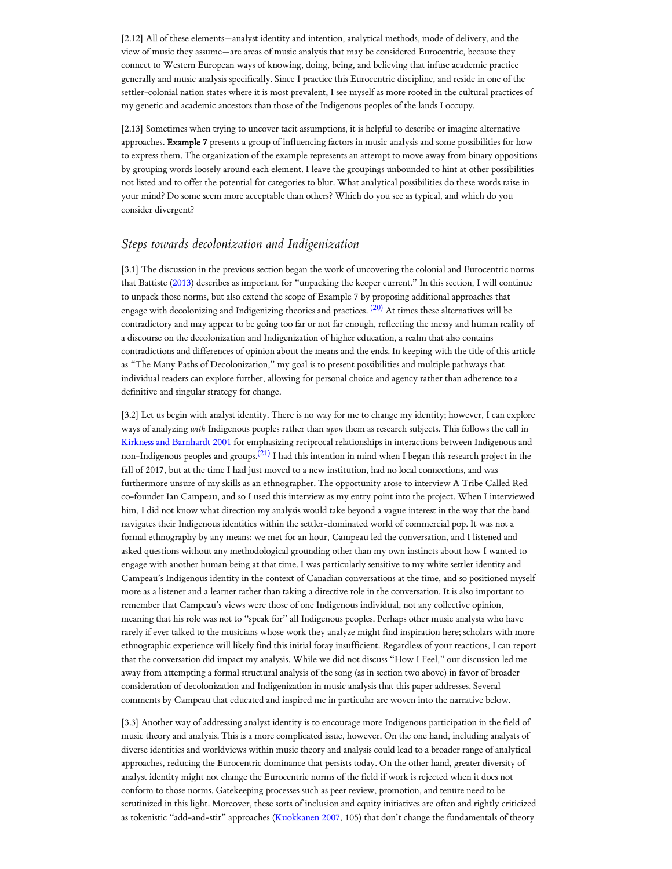[2.12] All of these elements—analyst identity and intention, analytical methods, mode of delivery, and the view of music they assume—are areas of music analysis that may be considered Eurocentric, because they connect to Western European ways of knowing, doing, being, and believing that infuse academic practice generally and music analysis specifically. Since I practice this Eurocentric discipline, and reside in one of the settler-colonial nation states where it is most prevalent, I see myself as more rooted in the cultural practices of my genetic and academic ancestors than those of the Indigenous peoples of the lands I occupy.

[2.13] Sometimes when trying to uncover tacit assumptions, it is helpful to describe or imagine alternative approaches. Example 7 presents a group of influencing factors in music analysis and some possibilities for how to express them. The organization of the example represents an attempt to move away from binary oppositions by grouping words loosely around each element. I leave the groupings unbounded to hint at other possibilities not listed and to offer the potential for categories to blur. What analytical possibilities do these words raise in your mind? Do some seem more acceptable than others? Which do you see as typical, and which do you consider divergent?

# *Steps towards decolonization and Indigenization*

<span id="page-5-0"></span>[3.1] The discussion in the previous section began the work of uncovering the colonial and Eurocentric norms that Battiste ([2013](#page-10-1)) describes as important for "unpacking the keeper current." In this section, I will continue to unpack those norms, but also extend the scope of Example 7 by proposing additional approaches that engage with decolonizing and Indigenizing theories and practices.  $^{(20)}$  $^{(20)}$  $^{(20)}$  At times these alternatives will be contradictory and may appear to be going too far or not far enough, reflecting the messy and human reality of a discourse on the decolonization and Indigenization of higher education, a realm that also contains contradictions and differences of opinion about the means and the ends. In keeping with the title of this article as "The Many Paths of Decolonization," my goal is to present possibilities and multiple pathways that individual readers can explore further, allowing for personal choice and agency rather than adherence to a definitive and singular strategy for change.

<span id="page-5-1"></span>[3.2] Let us begin with analyst identity. There is no way for me to change my identity; however, I can explore ways of analyzing *with* Indigenous peoples rather than *upon* them as research subjects. This follows the call in Kirkness [and Barnhardt](#page-12-6) 2001 for emphasizing reciprocal relationships in interactions between Indigenous and non-Indigenous peoples and groups.<sup>[\(21\)](#page-16-5)</sup> I had this intention in mind when I began this research project in the fall of 2017, but at the time I had just moved to a new institution, had no local connections, and was furthermore unsure of my skills as an ethnographer. The opportunity arose to interview A Tribe Called Red co-founder Ian Campeau, and so I used this interview as my entry point into the project. When I interviewed him, I did not know what direction my analysis would take beyond a vague interest in the way that the band navigates their Indigenous identities within the settler-dominated world of commercial pop. It was not a formal ethnography by any means: we met for an hour, Campeau led the conversation, and I listened and asked questions without any methodological grounding other than my own instincts about how I wanted to engage with another human being at that time. I was particularly sensitive to my white settler identity and Campeau's Indigenous identity in the context of Canadian conversations at the time, and so positioned myself more as a listener and a learner rather than taking a directive role in the conversation. It is also important to remember that Campeau's views were those of one Indigenous individual, not any collective opinion, meaning that his role was not to "speak for" all Indigenous peoples. Perhaps other music analysts who have rarely if ever talked to the musicians whose work they analyze might find inspiration here; scholars with more ethnographic experience will likely find this initial foray insufficient. Regardless of your reactions, I can report that the conversation did impact my analysis. While we did not discuss "How I Feel," our discussion led me away from attempting a formal structural analysis of the song (as in section two above) in favor of broader consideration of decolonization and Indigenization in music analysis that this paper addresses. Several comments by Campeau that educated and inspired me in particular are woven into the narrative below.

[3.3] Another way of addressing analyst identity is to encourage more Indigenous participation in the field of music theory and analysis. This is a more complicated issue, however. On the one hand, including analysts of diverse identities and worldviews within music theory and analysis could lead to a broader range of analytical approaches, reducing the Eurocentric dominance that persists today. On the other hand, greater diversity of analyst identity might not change the Eurocentric norms of the field if work is rejected when it does not conform to those norms. Gatekeeping processes such as peer review, promotion, and tenure need to be scrutinized in this light. Moreover, these sorts of inclusion and equity initiatives are often and rightly criticized as tokenistic "add-and-stir" approaches [\(Kuokkanen](#page-12-1) 2007, 105) that don't change the fundamentals of theory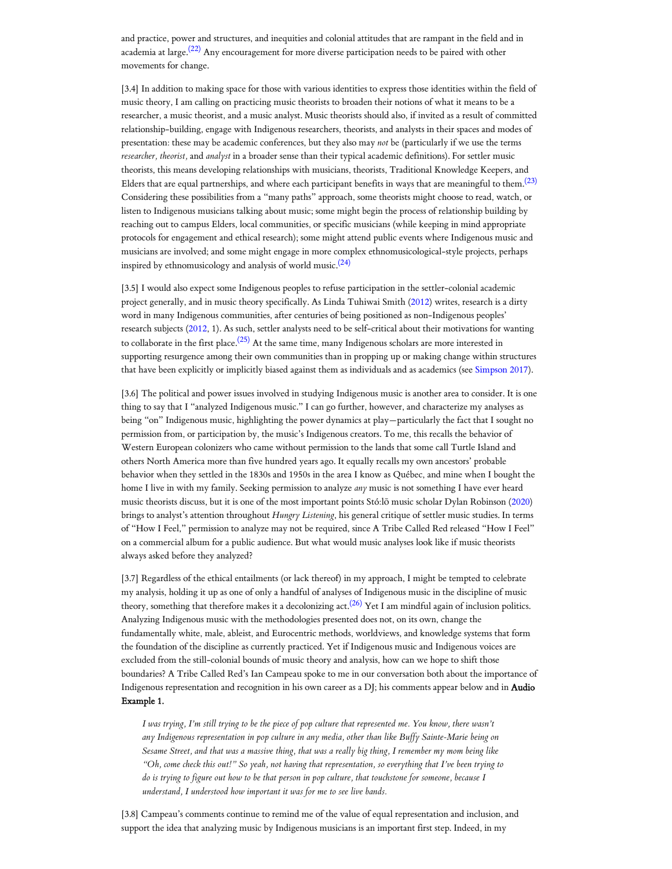<span id="page-6-0"></span>and practice, power and structures, and inequities and colonial attitudes that are rampant in the field and in academia at large.<sup>[\(22\)](#page-16-6)</sup> Any encouragement for more diverse participation needs to be paired with other movements for change.

<span id="page-6-1"></span>[3.4] In addition to making space for those with various identities to express those identities within the field of music theory, I am calling on practicing music theorists to broaden their notions of what it means to be a researcher, a music theorist, and a music analyst. Music theorists should also, if invited as a result of committed relationship-building, engage with Indigenous researchers, theorists, and analysts in their spaces and modes of presentation: these may be academic conferences, but they also may *not* be (particularly if we use the terms *researcher, theorist,* and *analyst* in a broader sense than their typical academic definitions). For settler music theorists, this means developing relationships with musicians, theorists, Traditional Knowledge Keepers, and Elders that are equal partnerships, and where each participant benefits in ways that are meaningful to them. $^{(23)}$  $^{(23)}$  $^{(23)}$ Considering these possibilities from a "many paths" approach, some theorists might choose to read, watch, or listen to Indigenous musicians talking about music; some might begin the process of relationship building by reaching out to campus Elders, local communities, or specific musicians (while keeping in mind appropriate protocols for engagement and ethical research); some might attend public events where Indigenous music and musicians are involved; and some might engage in more complex ethnomusicological-style projects, perhaps inspired by ethnomusicology and analysis of world music. $(24)$ 

<span id="page-6-3"></span><span id="page-6-2"></span>[3.5] I would also expect some Indigenous peoples to refuse participation in the settler-colonial academic project generally, and in music theory specifically. As Linda Tuhiwai Smith ([2012\)](#page-13-0) writes, research is a dirty word in many Indigenous communities, after centuries of being positioned as non-Indigenous peoples' research subjects [\(2012,](#page-13-0) 1). As such, settler analysts need to be self-critical about their motivations for wanting to collaborate in the first place. $^{(25)}$  $^{(25)}$  $^{(25)}$  At the same time, many Indigenous scholars are more interested in supporting resurgence among their own communities than in propping up or making change within structures that have been explicitly or implicitly biased against them as individuals and as academics (see [Simpson](#page-13-1) 2017).

[3.6] The political and power issues involved in studying Indigenous music is another area to consider. It is one thing to say that I "analyzed Indigenous music." I can go further, however, and characterize my analyses as being "on" Indigenous music, highlighting the power dynamics at play—particularly the fact that I sought no permission from, or participation by, the music's Indigenous creators. To me, this recalls the behavior of Western European colonizers who came without permission to the lands that some call Turtle Island and others North America more than five hundred years ago. It equally recalls my own ancestors' probable behavior when they settled in the 1830s and 1950s in the area I know as Québec, and mine when I bought the home I live in with my family. Seeking permission to analyze *any* music is not something I have ever heard music theorists discuss, but it is one of the most important points Stó:lō music scholar Dylan Robinson ([2020\)](#page-13-2) brings to analyst's attention throughout *Hungry Listening*, his general critique of settler music studies. In terms of "How I Feel," permission to analyze may not be required, since A Tribe Called Red released "How I Feel" on a commercial album for a public audience. But what would music analyses look like if music theorists always asked before they analyzed?

<span id="page-6-4"></span>[3.7] Regardless of the ethical entailments (or lack thereof) in my approach, I might be tempted to celebrate my analysis, holding it up as one of only a handful of analyses of Indigenous music in the discipline of music theory, something that therefore makes it a decolonizing act. $^{(26)}$  $^{(26)}$  $^{(26)}$  Yet I am mindful again of inclusion politics. Analyzing Indigenous music with the methodologies presented does not, on its own, change the fundamentally white, male, ableist, and Eurocentric methods, worldviews, and knowledge systems that form the foundation of the discipline as currently practiced. Yet if Indigenous music and Indigenous voices are excluded from the still-colonial bounds of music theory and analysis, how can we hope to shift those boundaries? A Tribe Called Red's Ian Campeau spoke to me in our conversation both about the importance of Indigenous representation and recognition in his own career as a DJ; his comments appear below and in **Audio** Example 1.

*I was trying, I'm still trying to be the piece of pop culture that represented me. You know, there wasn't any Indigenous representation in pop culture in any media, other than like Buf y Sainte-Marie being on Sesame Street, and that was a massive thing, that was a really big thing, I remember my mom being like "Oh, come check this out!" So yeah, not having that representation, so everything that I've been trying to do is trying to figure out how to be that person in pop culture, that touchstone for someone, because I understand, I understood how important it was for me to see live bands.*

[3.8] Campeau's comments continue to remind me of the value of equal representation and inclusion, and support the idea that analyzing music by Indigenous musicians is an important first step. Indeed, in my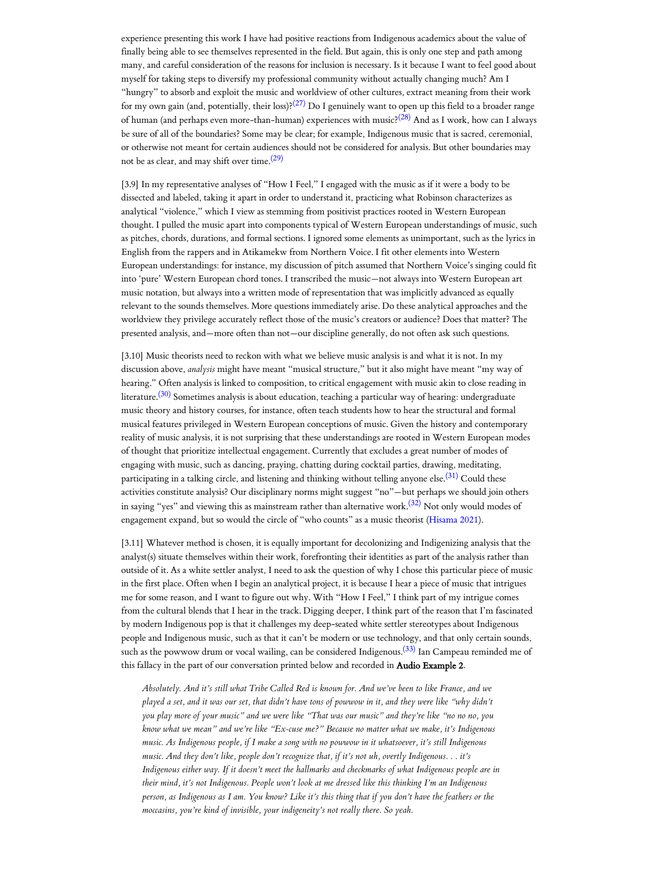<span id="page-7-0"></span>experience presenting this work I have had positive reactions from Indigenous academics about the value of finally being able to see themselves represented in the field. But again, this is only one step and path among many, and careful consideration of the reasons for inclusion is necessary. Is it because I want to feel good about myself for taking steps to diversify my professional community without actually changing much? Am I "hungry" to absorb and exploit the music and worldview of other cultures, extract meaning from their work for my own gain (and, potentially, their loss)? $^{(27)}$  $^{(27)}$  $^{(27)}$  Do I genuinely want to open up this field to a broader range of human (and perhaps even more-than-human) experiences with music?<sup>[\(28\)](#page-17-2)</sup> And as I work, how can I always be sure of all of the boundaries? Some may be clear; for example, Indigenous music that is sacred, ceremonial, or otherwise not meant for certain audiences should not be considered for analysis. But other boundaries may not be as clear, and may shift over time. $^{(29)}$  $^{(29)}$  $^{(29)}$ 

<span id="page-7-2"></span><span id="page-7-1"></span>[3.9] In my representative analyses of "How I Feel," I engaged with the music as if it were a body to be dissected and labeled, taking it apart in order to understand it, practicing what Robinson characterizes as analytical "violence," which I view as stemming from positivist practices rooted in Western European thought. I pulled the music apart into components typical of Western European understandings of music, such as pitches, chords, durations, and formal sections. I ignored some elements as unimportant, such as the lyrics in English from the rappers and in Atikamekw from Northern Voice. I fit other elements into Western European understandings: for instance, my discussion of pitch assumed that Northern Voice's singing could fit into 'pure' Western European chord tones. I transcribed the music—not always into Western European art music notation, but always into a written mode of representation that was implicitly advanced as equally relevant to the sounds themselves. More questions immediately arise. Do these analytical approaches and the worldview they privilege accurately reflect those of the music's creators or audience? Does that matter? The presented analysis, and—more often than not—our discipline generally, do not often ask such questions.

<span id="page-7-3"></span>[3.10] Music theorists need to reckon with what we believe music analysis is and what it is not. In my discussion above, *analysis* might have meant "musical structure," but it also might have meant "my way of hearing." Often analysis is linked to composition, to critical engagement with music akin to close reading in literature.<sup>[\(30\)](#page-17-4)</sup> Sometimes analysis is about education, teaching a particular way of hearing: undergraduate music theory and history courses, for instance, often teach students how to hear the structural and formal musical features privileged in Western European conceptions of music. Given the history and contemporary reality of music analysis, it is not surprising that these understandings are rooted in Western European modes of thought that prioritize intellectual engagement. Currently that excludes a great number of modes of engaging with music, such as dancing, praying, chatting during cocktail parties, drawing, meditating, participating in a talking circle, and listening and thinking without telling anyone else.<sup>[\(31\)](#page-17-5)</sup> Could these activities constitute analysis? Our disciplinary norms might suggest "no"—but perhaps we should join others in saying "yes" and viewing this as mainstream rather than alternative work.<sup>[\(32\)](#page-17-6)</sup> Not only would modes of engagement expand, but so would the circle of "who counts" as a music theorist ([Hisama](#page-12-7) 2021).

<span id="page-7-5"></span><span id="page-7-4"></span>[3.11] Whatever method is chosen, it is equally important for decolonizing and Indigenizing analysis that the analyst(s) situate themselves within their work, forefronting their identities as part of the analysis rather than outside of it. As a white settler analyst, I need to ask the question of why I chose this particular piece of music in the first place. Often when I begin an analytical project, it is because I hear a piece of music that intrigues me for some reason, and I want to figure out why. With "How I Feel," I think part of my intrigue comes from the cultural blends that I hear in the track. Digging deeper, I think part of the reason that I'm fascinated by modern Indigenous pop is that it challenges my deep-seated white settler stereotypes about Indigenous people and Indigenous music, such as that it can't be modern or use technology, and that only certain sounds, such as the powwow drum or vocal wailing, can be considered Indigenous.<sup>[\(33\)](#page-17-7)</sup> Ian Campeau reminded me of this fallacy in the part of our conversation printed below and recorded in Audio Example 2.

<span id="page-7-6"></span>*Absolutely. And it's still what Tribe Called Red is known for. And we've been to like France, and we played a set, and it was our set, that didn't have tons of powwow in it, and they were like "why didn't you play more of your music" and we were like "That was our music" and they're like "no no no, you know what we mean" and we're like "Ex-cuse me?" Because no matter what we make, it's Indigenous music. As Indigenous people, if I make a song with no powwow in it whatsoever, it's still Indigenous music. And they don't like, people don't recognize that, if it's not uh, overtly Indigenous. . . it's Indigenous either way. If it doesn't meet the hallmarks and checkmarks of what Indigenous people are in their mind, it's not Indigenous. People won't look at me dressed like this thinking I'm an Indigenous person, as Indigenous as I am. You know? Like it's this thing that if you don't have the feathers or the moccasins, you're kind of invisible, your indigeneity's not really there. So yeah.*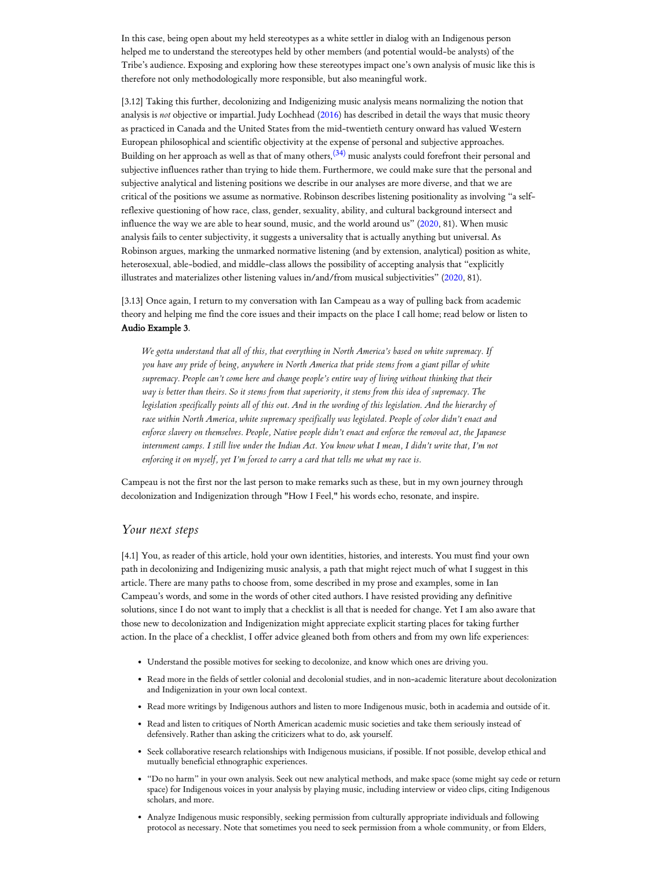In this case, being open about my held stereotypes as a white settler in dialog with an Indigenous person helped me to understand the stereotypes held by other members (and potential would-be analysts) of the Tribe's audience. Exposing and exploring how these stereotypes impact one's own analysis of music like this is therefore not only methodologically more responsible, but also meaningful work.

<span id="page-8-0"></span>[3.12] Taking this further, decolonizing and Indigenizing music analysis means normalizing the notion that analysis is *not* objective or impartial. Judy Lochhead [\(2016](#page-12-8)) has described in detail the ways that music theory as practiced in Canada and the United States from the mid-twentieth century onward has valued Western European philosophical and scientific objectivity at the expense of personal and subjective approaches. Building on her approach as well as that of many others, $^{(34)}$  $^{(34)}$  $^{(34)}$  music analysts could forefront their personal and subjective influences rather than trying to hide them. Furthermore, we could make sure that the personal and subjective analytical and listening positions we describe in our analyses are more diverse, and that we are critical of the positions we assume as normative. Robinson describes listening positionality as involving "a selfreflexive questioning of how race, class, gender, sexuality, ability, and cultural background intersect and influence the way we are able to hear sound, music, and the world around us" [\(2020](#page-13-2), 81). When music analysis fails to center subjectivity, it suggests a universality that is actually anything but universal. As Robinson argues, marking the unmarked normative listening (and by extension, analytical) position as white, heterosexual, able-bodied, and middle-class allows the possibility of accepting analysis that "explicitly illustrates and materializes other listening values in/and/from musical subjectivities" [\(2020](#page-13-2), 81).

[3.13] Once again, I return to my conversation with Ian Campeau as a way of pulling back from academic theory and helping me find the core issues and their impacts on the place I call home; read below or listen to Audio Example 3.

*We gotta understand that all of this, that everything in North America's based on white supremacy. If you have any pride of being, anywhere in North America that pride stems from a giant pillar of white supremacy. People can't come here and change people's entire way of living without thinking that their way is better than theirs. So it stems from that superiority, it stems from this idea of supremacy. The legislation specifically points all of this out. And in the wording of this legislation. And the hierarchy of race within North America, white supremacy specifically was legislated. People of color didn't enact and enforce slavery on themselves. People, Native people didn't enact and enforce the removal act, the Japanese internment camps. I still live under the Indian Act. You know what I mean, I didn't write that, I'm not enforcing it on myself, yet I'm forced to carry a card that tells me what my race is.*

Campeau is not the first nor the last person to make remarks such as these, but in my own journey through decolonization and Indigenization through "How I Feel," his words echo, resonate, and inspire.

## *Your next steps*

[4.1] You, as reader of this article, hold your own identities, histories, and interests. You must find your own path in decolonizing and Indigenizing music analysis, a path that might reject much of what I suggest in this article. There are many paths to choose from, some described in my prose and examples, some in Ian Campeau's words, and some in the words of other cited authors. I have resisted providing any definitive solutions, since I do not want to imply that a checklist is all that is needed for change. Yet I am also aware that those new to decolonization and Indigenization might appreciate explicit starting places for taking further action. In the place of a checklist, I offer advice gleaned both from others and from my own life experiences:

- Understand the possible motives for seeking to decolonize, and know which ones are driving you.
- Read more in the fields of settler colonial and decolonial studies, and in non-academic literature about decolonization and Indigenization in your own local context.
- Read more writings by Indigenous authors and listen to more Indigenous music, both in academia and outside of it.
- Read and listen to critiques of North American academic music societies and take them seriously instead of defensively. Rather than asking the criticizers what to do, ask yourself.
- Seek collaborative research relationships with Indigenous musicians, if possible. If not possible, develop ethical and mutually beneficial ethnographic experiences.
- "Do no harm" in your own analysis. Seek out new analytical methods, and make space (some might say cede or return space) for Indigenous voices in your analysis by playing music, including interview or video clips, citing Indigenous scholars, and more.
- Analyze Indigenous music responsibly, seeking permission from culturally appropriate individuals and following protocol as necessary. Note that sometimes you need to seek permission from a whole community, or from Elders,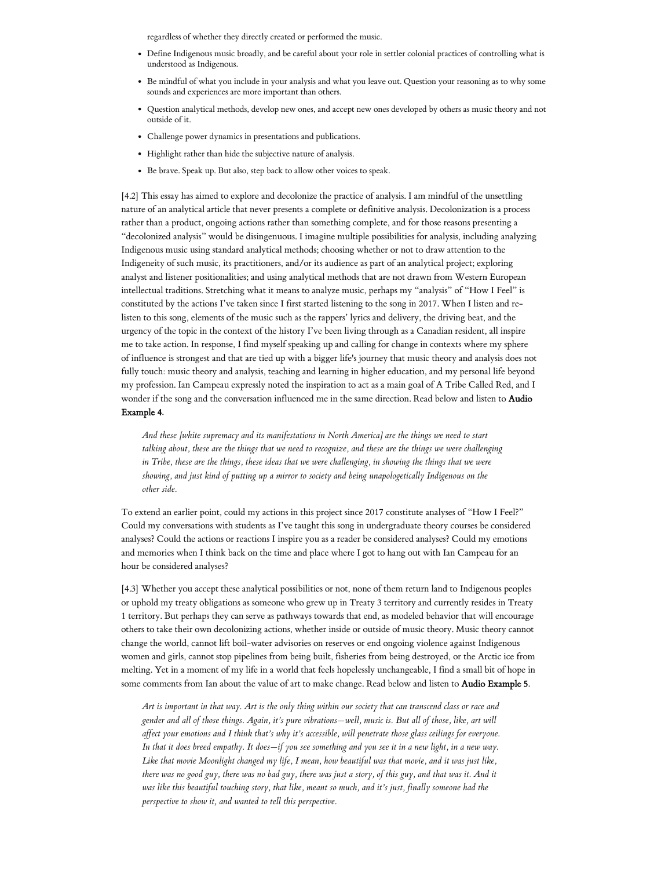regardless of whether they directly created or performed the music.

- Define Indigenous music broadly, and be careful about your role in settler colonial practices of controlling what is understood as Indigenous.
- Be mindful of what you include in your analysis and what you leave out. Question your reasoning as to why some sounds and experiences are more important than others.
- Question analytical methods, develop new ones, and accept new ones developed by others as music theory and not outside of it.
- Challenge power dynamics in presentations and publications.
- Highlight rather than hide the subjective nature of analysis.
- Be brave. Speak up. But also, step back to allow other voices to speak.

[4.2] This essay has aimed to explore and decolonize the practice of analysis. I am mindful of the unsettling nature of an analytical article that never presents a complete or definitive analysis. Decolonization is a process rather than a product, ongoing actions rather than something complete, and for those reasons presenting a "decolonized analysis" would be disingenuous. I imagine multiple possibilities for analysis, including analyzing Indigenous music using standard analytical methods; choosing whether or not to draw attention to the Indigeneity of such music, its practitioners, and/or its audience as part of an analytical project; exploring analyst and listener positionalities; and using analytical methods that are not drawn from Western European intellectual traditions. Stretching what it means to analyze music, perhaps my "analysis" of "How I Feel" is constituted by the actions I've taken since I first started listening to the song in 2017. When I listen and relisten to this song, elements of the music such as the rappers' lyrics and delivery, the driving beat, and the urgency of the topic in the context of the history I've been living through as a Canadian resident, all inspire me to take action. In response, I find myself speaking up and calling for change in contexts where my sphere of influence is strongest and that are tied up with a bigger life's journey that music theory and analysis does not fully touch: music theory and analysis, teaching and learning in higher education, and my personal life beyond my profession. Ian Campeau expressly noted the inspiration to act as a main goal of A Tribe Called Red, and I wonder if the song and the conversation influenced me in the same direction. Read below and listen to Audio Example 4.

*And these [white supremacy and its manifestations in North America] are the things we need to start talking about, these are the things that we need to recognize, and these are the things we were challenging in Tribe, these are the things, these ideas that we were challenging, in showing the things that we were showing, and just kind of putting up a mirror to society and being unapologetically Indigenous on the other side.*

To extend an earlier point, could my actions in this project since 2017 constitute analyses of "How I Feel?" Could my conversations with students as I've taught this song in undergraduate theory courses be considered analyses? Could the actions or reactions I inspire you as a reader be considered analyses? Could my emotions and memories when I think back on the time and place where I got to hang out with Ian Campeau for an hour be considered analyses?

[4.3] Whether you accept these analytical possibilities or not, none of them return land to Indigenous peoples or uphold my treaty obligations as someone who grew up in Treaty 3 territory and currently resides in Treaty 1 territory. But perhaps they can serve as pathways towards that end, as modeled behavior that will encourage others to take their own decolonizing actions, whether inside or outside of music theory. Music theory cannot change the world, cannot lift boil-water advisories on reserves or end ongoing violence against Indigenous women and girls, cannot stop pipelines from being built, fisheries from being destroyed, or the Arctic ice from melting. Yet in a moment of my life in a world that feels hopelessly unchangeable, I find a small bit of hope in some comments from Ian about the value of art to make change. Read below and listen to Audio Example 5.

*Art is important in that way. Art is the only thing within our society that can transcend class or race and gender and all of those things. Again, it's pure vibrations—well, music is. But all of those, like, art will af ect your emotions and I think that's why it's accessible, will penetrate those glass ceilings for everyone. In that it does breed empathy. It does—if you see something and you see it in a new light, in a new way. Like that movie Moonlight changed my life, I mean, how beautiful was that movie, and it was just like, there was no good guy, there was no bad guy, there was just a story, of this guy, and that was it. And it was like this beautiful touching story, that like, meant so much, and it's just, finally someone had the perspective to show it, and wanted to tell this perspective.*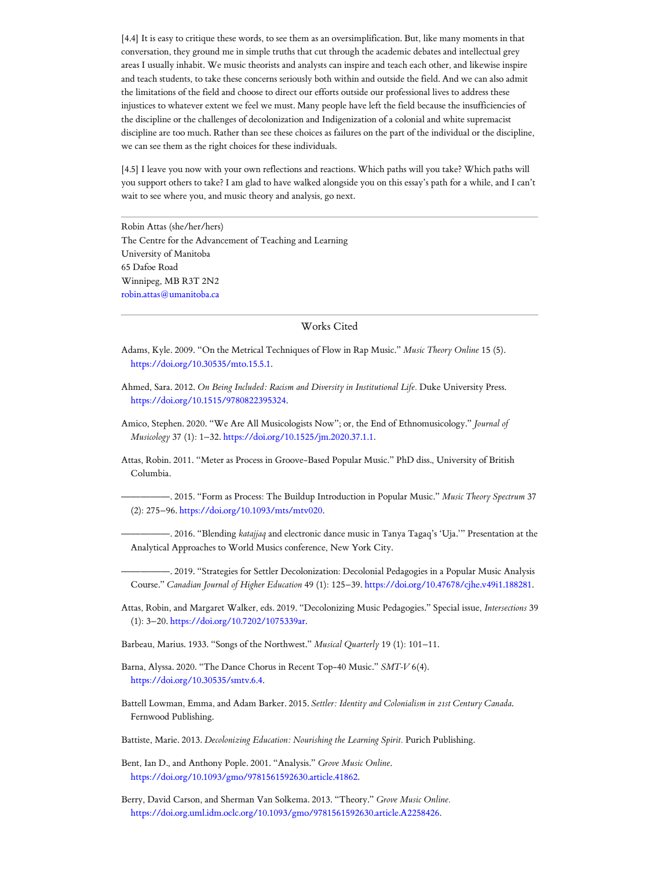[4.4] It is easy to critique these words, to see them as an oversimplification. But, like many moments in that conversation, they ground me in simple truths that cut through the academic debates and intellectual grey areas I usually inhabit. We music theorists and analysts can inspire and teach each other, and likewise inspire and teach students, to take these concerns seriously both within and outside the field. And we can also admit the limitations of the field and choose to direct our efforts outside our professional lives to address these injustices to whatever extent we feel we must. Many people have left the field because the insufficiencies of the discipline or the challenges of decolonization and Indigenization of a colonial and white supremacist discipline are too much. Rather than see these choices as failures on the part of the individual or the discipline, we can see them as the right choices for these individuals.

[4.5] I leave you now with your own reflections and reactions. Which paths will you take? Which paths will you support others to take? I am glad to have walked alongside you on this essay's path for a while, and I can't wait to see where you, and music theory and analysis, go next.

<span id="page-10-0"></span>Robin Attas (she/her/hers) The Centre for the Advancement of Teaching and Learning University of Manitoba 65 Dafoe Road Winnipeg, MB R3T 2N2 [robin.attas@umanitoba.ca](mailto:robin.attas@umanitoba.ca)

#### Works Cited

<span id="page-10-5"></span>Adams, Kyle. 2009. "On the Metrical Techniques of Flow in Rap Music." *Music Theory Online* 15 (5). [https://doi.org/10.30535/mto.15.5.1.](https://doi.org/10.30535/mto.15.5.1)

- <span id="page-10-12"></span>Ahmed, Sara. 2012. *On Being Included: Racism and Diversity in Institutional Life.* Duke University Press. [https://doi.org/10.1515/9780822395324.](https://doi.org/10.1515/9780822395324)
- <span id="page-10-13"></span>Amico, Stephen. 2020. "We Are All Musicologists Now"; or, the End of Ethnomusicology." *Journal of Musicology* 37 (1): 1–32. [https://doi.org/10.1525/jm.2020.37.1.1.](https://doi.org/10.1525/jm.2020.37.1.1)

<span id="page-10-4"></span>Attas, Robin. 2011. "Meter as Process in Groove-Based Popular Music." PhD diss., University of British Columbia.

<span id="page-10-2"></span>—————. 2015. "Form as Process: The Buildup Introduction in Popular Music." *Music Theory Spectrum* 37 (2): 275–96. <https://doi.org/10.1093/mts/mtv020>.

<span id="page-10-14"></span>—————. 2016. "Blending *katajjaq* and electronic dance music in Tanya Tagaq's 'Uja.'" Presentation at the Analytical Approaches to World Musics conference, New York City.

<span id="page-10-8"></span>—————. 2019. "Strategies for Settler Decolonization: Decolonial Pedagogies in a Popular Music Analysis Course." *Canadian Journal of Higher Education* 49 (1): 125–39. <https://doi.org/10.47678/cjhe.v49i1.188281>.

<span id="page-10-7"></span>Attas, Robin, and Margaret Walker, eds. 2019. "Decolonizing Music Pedagogies." Special issue, *Intersections* 39 (1): 3–20. [https://doi.org/10.7202/1075339ar.](https://doi.org/10.7202/1075339ar)

<span id="page-10-11"></span>Barbeau, Marius. 1933. "Songs of the Northwest." *Musical Quarterly* 19 (1): 101–11.

<span id="page-10-3"></span>Barna, Alyssa. 2020. "The Dance Chorus in Recent Top-40 Music." *SMT-V* 6(4). <https://doi.org/10.30535/smtv.6.4>.

<span id="page-10-6"></span>Battell Lowman, Emma, and Adam Barker. 2015. *Settler: Identity and Colonialism in 21st Century Canada*. Fernwood Publishing.

<span id="page-10-1"></span>Battiste, Marie. 2013. *Decolonizing Education: Nourishing the Learning Spirit.* Purich Publishing.

<span id="page-10-9"></span>Bent, Ian D., and Anthony Pople. 2001. "Analysis." *Grove Music Online*. [https://doi.org/10.1093/gmo/9781561592630.article.41862.](https://doi.org/10.1093/gmo/9781561592630.article.41862)

<span id="page-10-10"></span>Berry, David Carson, and Sherman Van Solkema. 2013. "Theory." *Grove Music Online.* [https://doi.org.uml.idm.oclc.org/10.1093/gmo/9781561592630.article.A2258426.](https://doi.org.uml.idm.oclc.org/10.1093/gmo/9781561592630.article.A2258426)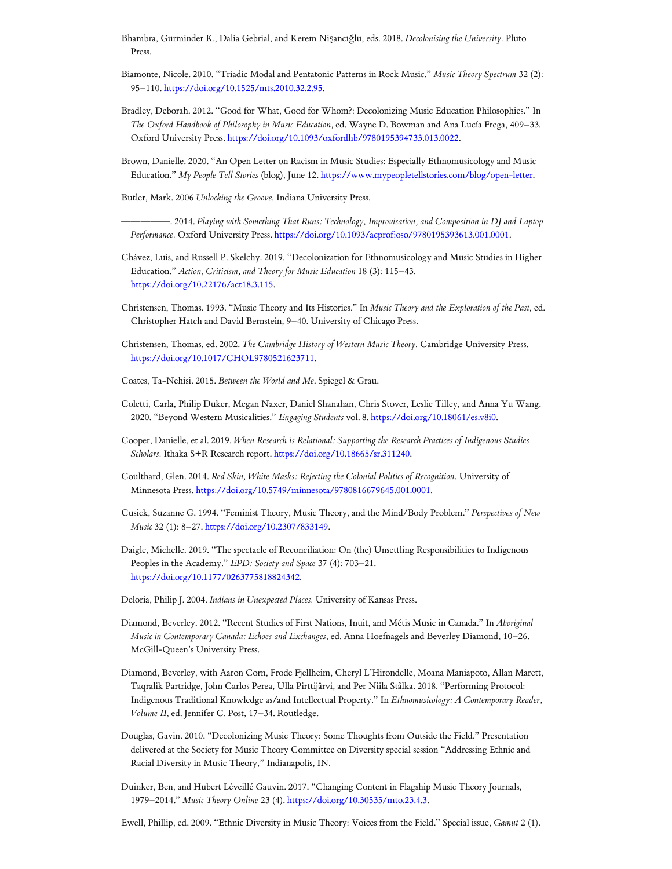- <span id="page-11-3"></span>Bhambra, Gurminder K., Dalia Gebrial, and Kerem Nişancığlu, eds. 2018. *Decolonising the University.* Pluto Press.
- <span id="page-11-13"></span>Biamonte, Nicole. 2010. "Triadic Modal and Pentatonic Patterns in Rock Music." *Music Theory Spectrum* 32 (2): 95–110. <https://doi.org/10.1525/mts.2010.32.2.95>.
- <span id="page-11-4"></span>Bradley, Deborah. 2012. "Good for What, Good for Whom?: Decolonizing Music Education Philosophies." In *The Oxford Handbook of Philosophy in Music Education,* ed. Wayne D. Bowman and Ana Lucía Frega, 409–33. Oxford University Press. [https://doi.org/10.1093/oxfordhb/9780195394733.013.0022.](https://doi.org/10.1093/oxfordhb/9780195394733.013.0022)
- <span id="page-11-5"></span>Brown, Danielle. 2020. "An Open Letter on Racism in Music Studies: Especially Ethnomusicology and Music Education." *My People Tell Stories* (blog), June 12. <https://www.mypeopletellstories.com/blog/open-letter>.
- <span id="page-11-0"></span>Butler, Mark. 2006 *Unlocking the Groove.* Indiana University Press.

<span id="page-11-1"></span>—————. 2014. *Playing with Something That Runs: Technology, Improvisation, and Composition in DJ and Laptop Performance.* Oxford University Press. [https://doi.org/10.1093/acprof:oso/9780195393613.001.0001.](https://doi.org/10.1093/acprof:oso/9780195393613.001.0001)

- <span id="page-11-6"></span>Chávez, Luis, and Russell P. Skelchy. 2019. "Decolonization for Ethnomusicology and Music Studies in Higher Education." *Action, Criticism, and Theory for Music Education* 18 (3): 115–43. <https://doi.org/10.22176/act18.3.115>.
- <span id="page-11-10"></span>Christensen, Thomas. 1993. "Music Theory and Its Histories." In *Music Theory and the Exploration of the Past*, ed. Christopher Hatch and David Bernstein, 9–40. University of Chicago Press.
- <span id="page-11-11"></span>Christensen, Thomas, ed. 2002. *The Cambridge History of Western Music Theory.* Cambridge University Press. [https://doi.org/10.1017/CHOL9780521623711.](https://doi.org/10.1017/CHOL9780521623711)
- <span id="page-11-14"></span>Coates, Ta-Nehisi. 2015. *Between the World and Me*. Spiegel & Grau.
- <span id="page-11-12"></span>Coletti, Carla, Philip Duker, Megan Naxer, Daniel Shanahan, Chris Stover, Leslie Tilley, and Anna Yu Wang. 2020. "Beyond Western Musicalities." *Engaging Students* vol. 8. <https://doi.org/10.18061/es.v8i0>.
- <span id="page-11-17"></span>Cooper, Danielle, et al. 2019. *When Research is Relational: Supporting the Research Practices of Indigenous Studies Scholars.* Ithaka S+R Research report. <https://doi.org/10.18665/sr.311240>.
- <span id="page-11-15"></span>Coulthard, Glen. 2014. *Red Skin, White Masks: Rejecting the Colonial Politics of Recognition.* University of Minnesota Press. [https://doi.org/10.5749/minnesota/9780816679645.001.0001.](https://doi.org/10.5749/minnesota/9780816679645.001.0001)
- <span id="page-11-20"></span>Cusick, Suzanne G. 1994. "Feminist Theory, Music Theory, and the Mind/Body Problem." *Perspectives of New Music* 32 (1): 8–27. [https://doi.org/10.2307/833149.](https://doi.org/10.2307/833149)
- <span id="page-11-2"></span>Daigle, Michelle. 2019. "The spectacle of Reconciliation: On (the) Unsettling Responsibilities to Indigenous Peoples in the Academy." *EPD: Society and Space* 37 (4): 703–21. <https://doi.org/10.1177/0263775818824342>.
- <span id="page-11-19"></span>Deloria, Philip J. 2004. *Indians in Unexpected Places.* University of Kansas Press.
- <span id="page-11-16"></span>Diamond, Beverley. 2012. "Recent Studies of First Nations, Inuit, and Métis Music in Canada." In *Aboriginal Music in Contemporary Canada: Echoes and Exchanges*, ed. Anna Hoefnagels and Beverley Diamond, 10–26. McGill-Queen's University Press.
- <span id="page-11-18"></span>Diamond, Beverley, with Aaron Corn, Frode Fjellheim, Cheryl L'Hirondelle, Moana Maniapoto, Allan Marett, Taqralik Partridge, John Carlos Perea, Ulla Pirttijârvi, and Per Niila Stålka. 2018. "Performing Protocol: Indigenous Traditional Knowledge as/and Intellectual Property." In *Ethnomusicology: A Contemporary Reader, Volume II*, ed. Jennifer C. Post, 17–34. Routledge.
- <span id="page-11-7"></span>Douglas, Gavin. 2010. "Decolonizing Music Theory: Some Thoughts from Outside the Field." Presentation delivered at the Society for Music Theory Committee on Diversity special session "Addressing Ethnic and Racial Diversity in Music Theory," Indianapolis, IN.
- <span id="page-11-9"></span>Duinker, Ben, and Hubert Léveillé Gauvin. 2017. "Changing Content in Flagship Music Theory Journals, 1979–2014." *Music Theory Online* 23 (4). [https://doi.org/10.30535/mto.23.4.3.](https://doi.org/10.30535/mto.23.4.3)
- <span id="page-11-8"></span>Ewell, Phillip, ed. 2009. "Ethnic Diversity in Music Theory: Voices from the Field." Special issue, *Gamut* 2 (1).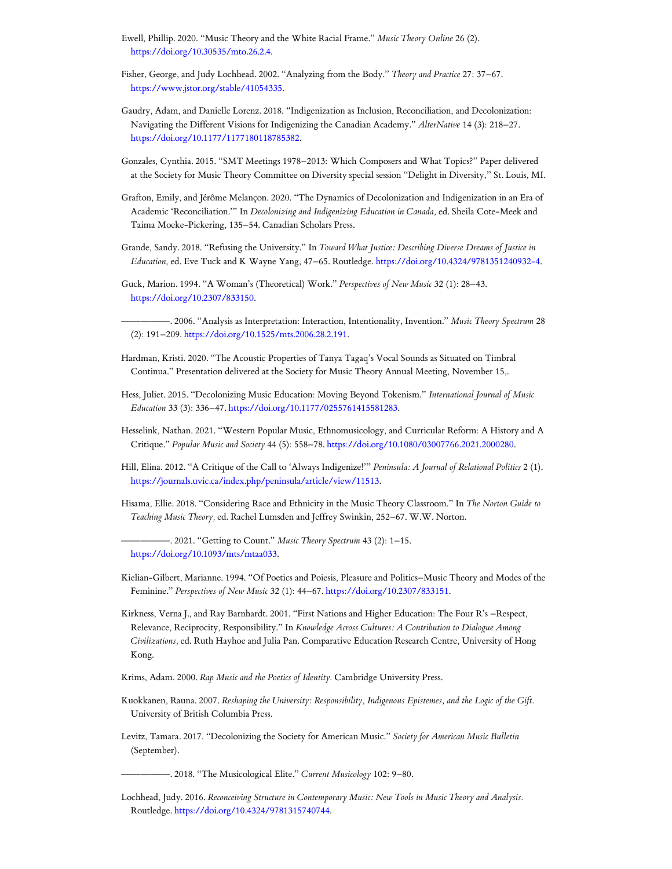- <span id="page-12-4"></span>Ewell, Phillip. 2020. "Music Theory and the White Racial Frame." *Music Theory Online* 26 (2). [https://doi.org/10.30535/mto.26.2.4.](https://doi.org/10.30535/mto.26.2.4)
- <span id="page-12-19"></span>Fisher, George, and Judy Lochhead. 2002. "Analyzing from the Body." *Theory and Practice* 27: 37–67. [https://www.jstor.org/stable/41054335.](https://www.jstor.org/stable/41054335)
- <span id="page-12-9"></span>Gaudry, Adam, and Danielle Lorenz. 2018. "Indigenization as Inclusion, Reconciliation, and Decolonization: Navigating the Different Visions for Indigenizing the Canadian Academy." *AlterNative* 14 (3): 218–27. <https://doi.org/10.1177/1177180118785382>.
- <span id="page-12-13"></span>Gonzales, Cynthia. 2015. "SMT Meetings 1978–2013: Which Composers and What Topics?" Paper delivered at the Society for Music Theory Committee on Diversity special session "Delight in Diversity," St. Louis, MI.
- <span id="page-12-3"></span>Grafton, Emily, and Jérôme Melançon. 2020. "The Dynamics of Decolonization and Indigenization in an Era of Academic 'Reconciliation.'" In *Decolonizing and Indigenizing Education in Canada,* ed. Sheila Cote-Meek and Taima Moeke-Pickering, 135–54. Canadian Scholars Press.
- <span id="page-12-2"></span>Grande, Sandy. 2018. "Refusing the University." In *Toward What Justice: Describing Diverse Dreams of Justice in Education*, ed. Eve Tuck and K Wayne Yang, 47–65. Routledge. [https://doi.org/10.4324/9781351240932-4.](https://doi.org/10.4324/9781351240932-4)
- <span id="page-12-18"></span>Guck, Marion. 1994. "A Woman's (Theoretical) Work." *Perspectives of New Music* 32 (1): 28–43. [https://doi.org/10.2307/833150.](https://doi.org/10.2307/833150)
- <span id="page-12-20"></span>—————. 2006. "Analysis as Interpretation: Interaction, Intentionality, Invention." *Music Theory Spectrum* 28 (2): 191–209. [https://doi.org/10.1525/mts.2006.28.2.191.](https://doi.org/10.1525/mts.2006.28.2.191)
- <span id="page-12-16"></span>Hardman, Kristi. 2020. "The Acoustic Properties of Tanya Tagaq's Vocal Sounds as Situated on Timbral Continua." Presentation delivered at the Society for Music Theory Annual Meeting, November 15,.
- <span id="page-12-12"></span>Hess, Juliet. 2015. "Decolonizing Music Education: Moving Beyond Tokenism." *International Journal of Music Education* 33 (3): 336–47. [https://doi.org/10.1177/0255761415581283.](https://doi.org/10.1177/0255761415581283)
- <span id="page-12-15"></span>Hesselink, Nathan. 2021. "Western Popular Music, Ethnomusicology, and Curricular Reform: A History and A Critique." *Popular Music and Society* 44 (5): 558–78. [https://doi.org/10.1080/03007766.2021.2000280.](https://doi.org/10.1080/03007766.2021.2000280)
- <span id="page-12-0"></span>Hill, Elina. 2012. "A Critique of the Call to 'Always Indigenize!'" *Peninsula: A Journal of Relational Politics* 2 (1). <https://journals.uvic.ca/index.php/peninsula/article/view/11513>.
- <span id="page-12-14"></span><span id="page-12-7"></span>Hisama, Ellie. 2018. "Considering Race and Ethnicity in the Music Theory Classroom." In *The Norton Guide to Teaching Music Theory,* ed. Rachel Lumsden and Jeffrey Swinkin, 252–67. W.W. Norton.
	- —————. 2021. "Getting to Count." *Music Theory Spectrum* 43 (2): 1–15. [https://doi.org/10.1093/mts/mtaa033.](https://doi.org/10.1093/mts/mtaa033)
- <span id="page-12-17"></span>Kielian-Gilbert, Marianne. 1994. "Of Poetics and Poiesis, Pleasure and Politics–Music Theory and Modes of the Feminine." *Perspectives of New Music* 32 (1): 44–67. [https://doi.org/10.2307/833151.](https://doi.org/10.2307/833151)
- <span id="page-12-6"></span>Kirkness, Verna J., and Ray Barnhardt. 2001. "First Nations and Higher Education: The Four R's –Respect, Relevance, Reciprocity, Responsibility." In *Knowledge Across Cultures: A Contribution to Dialogue Among Civilizations,* ed. Ruth Hayhoe and Julia Pan. Comparative Education Research Centre, University of Hong Kong.
- <span id="page-12-5"></span>Krims, Adam. 2000. *Rap Music and the Poetics of Identity.* Cambridge University Press.
- <span id="page-12-1"></span>Kuokkanen, Rauna. 2007. *Reshaping the University: Responsibility, Indigenous Epistemes, and the Logic of the Gift.* University of British Columbia Press.
- <span id="page-12-10"></span>Levitz, Tamara. 2017. "Decolonizing the Society for American Music." *Society for American Music Bulletin* (September).
	- —————. 2018. "The Musicological Elite." *Current Musicology* 102: 9–80.
- <span id="page-12-11"></span><span id="page-12-8"></span>Lochhead, Judy. 2016. *Reconceiving Structure in Contemporary Music: New Tools in Music Theory and Analysis.* Routledge. [https://doi.org/10.4324/9781315740744.](https://doi.org/10.4324/9781315740744)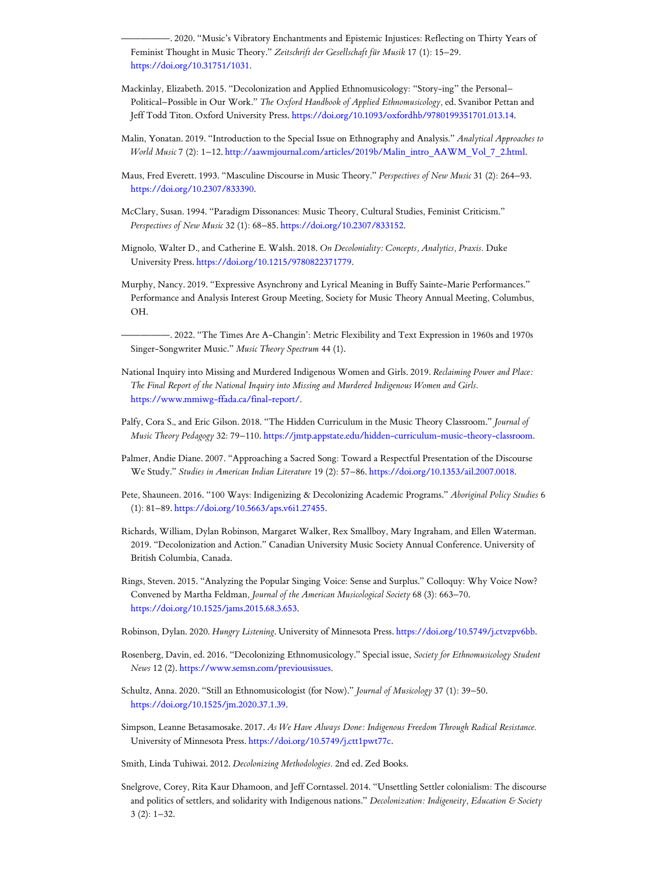<span id="page-13-18"></span>—————. 2020. "Music's Vibratory Enchantments and Epistemic Injustices: Reflecting on Thirty Years of Feminist Thought in Music Theory." *Zeitschrift der Gesellschaft für Musik* 17 (1): 15–29. <https://doi.org/10.31751/1031>.

- <span id="page-13-9"></span>Mackinlay, Elizabeth. 2015. "Decolonization and Applied Ethnomusicology: "Story-ing" the Personal– Political–Possible in Our Work." *The Oxford Handbook of Applied Ethnomusicology,* ed. Svanibor Pettan and Jeff Todd Titon. Oxford University Press. [https://doi.org/10.1093/oxfordhb/9780199351701.013.14.](https://doi.org/10.1093/oxfordhb/9780199351701.013.14)
- <span id="page-13-8"></span>Malin, Yonatan. 2019. "Introduction to the Special Issue on Ethnography and Analysis." *Analytical Approaches to World Music* 7 (2): 1–12. [http://aawmjournal.com/articles/2019b/Malin\\_intro\\_AAWM\\_Vol\\_7\\_2.html](http://aawmjournal.com/articles/2019b/Malin_intro_AAWM_Vol_7_2.html).
- <span id="page-13-16"></span>Maus, Fred Everett. 1993. "Masculine Discourse in Music Theory." *Perspectives of New Music* 31 (2): 264–93. [https://doi.org/10.2307/833390.](https://doi.org/10.2307/833390)
- <span id="page-13-17"></span>McClary, Susan. 1994. "Paradigm Dissonances: Music Theory, Cultural Studies, Feminist Criticism." *Perspectives of New Music* 32 (1): 68–85. <https://doi.org/10.2307/833152>.
- <span id="page-13-7"></span>Mignolo, Walter D., and Catherine E. Walsh. 2018. *On Decoloniality: Concepts, Analytics, Praxis.* Duke University Press. [https://doi.org/10.1215/9780822371779.](https://doi.org/10.1215/9780822371779)
- <span id="page-13-12"></span>Murphy, Nancy. 2019. "Expressive Asynchrony and Lyrical Meaning in Buffy Sainte-Marie Performances." Performance and Analysis Interest Group Meeting, Society for Music Theory Annual Meeting, Columbus, OH.

<span id="page-13-13"></span>—————. 2022. "The Times Are A-Changin': Metric Flexibility and Text Expression in 1960s and 1970s Singer-Songwriter Music." *Music Theory Spectrum* 44 (1).

- National Inquiry into Missing and Murdered Indigenous Women and Girls. 2019. *Reclaiming Power and Place: The Final Report of the National Inquiry into Missing and Murdered Indigenous Women and Girls.* <https://www.mmiwg-ffada.ca/final-report/>.
- <span id="page-13-6"></span>Palfy, Cora S., and Eric Gilson. 2018. "The Hidden Curriculum in the Music Theory Classroom." *Journal of Music Theory Pedagogy* 32: 79–110. <https://jmtp.appstate.edu/hidden-curriculum-music-theory-classroom>.
- <span id="page-13-15"></span>Palmer, Andie Diane. 2007. "Approaching a Sacred Song: Toward a Respectful Presentation of the Discourse We Study." *Studies in American Indian Literature* 19 (2): 57–86. <https://doi.org/10.1353/ail.2007.0018>.
- <span id="page-13-4"></span>Pete, Shauneen. 2016. "100 Ways: Indigenizing & Decolonizing Academic Programs." *Aboriginal Policy Studies* 6 (1): 81–89. <https://doi.org/10.5663/aps.v6i1.27455.>
- <span id="page-13-5"></span>Richards, William, Dylan Robinson, Margaret Walker, Rex Smallboy, Mary Ingraham, and Ellen Waterman. 2019. "Decolonization and Action." Canadian University Music Society Annual Conference. University of British Columbia, Canada.
- <span id="page-13-14"></span>Rings, Steven. 2015. "Analyzing the Popular Singing Voice: Sense and Surplus." Colloquy: Why Voice Now? Convened by Martha Feldman*, Journal of the American Musicological Society* 68 (3): 663–70. <https://doi.org/10.1525/jams.2015.68.3.653>.
- <span id="page-13-2"></span>Robinson, Dylan. 2020. *Hungry Listening*. University of Minnesota Press. <https://doi.org/10.5749/j.ctvzpv6bb>.
- <span id="page-13-10"></span>Rosenberg, Davin, ed. 2016. "Decolonizing Ethnomusicology." Special issue, *Society for Ethnomusicology Student News* 12 (2). [https://www.semsn.com/previousissues.](https://www.semsn.com/previousissues)
- <span id="page-13-11"></span>Schultz, Anna. 2020. "Still an Ethnomusicologist (for Now)." *Journal of Musicology* 37 (1): 39–50. [https://doi.org/10.1525/jm.2020.37.1.39.](https://doi.org/10.1525/jm.2020.37.1.39)
- <span id="page-13-1"></span>Simpson, Leanne Betasamosake. 2017. *As We Have Always Done: Indigenous Freedom Through Radical Resistance.* University of Minnesota Press. [https://doi.org/10.5749/j.ctt1pwt77c.](https://doi.org/10.5749/j.ctt1pwt77c)
- <span id="page-13-0"></span>Smith, Linda Tuhiwai. 2012. *Decolonizing Methodologies.* 2nd ed. Zed Books.
- <span id="page-13-3"></span>Snelgrove, Corey, Rita Kaur Dhamoon, and Jeff Corntassel. 2014. "Unsettling Settler colonialism: The discourse and politics of settlers, and solidarity with Indigenous nations." *Decolonization: Indigeneity, Education & Society*  $3(2): 1-32.$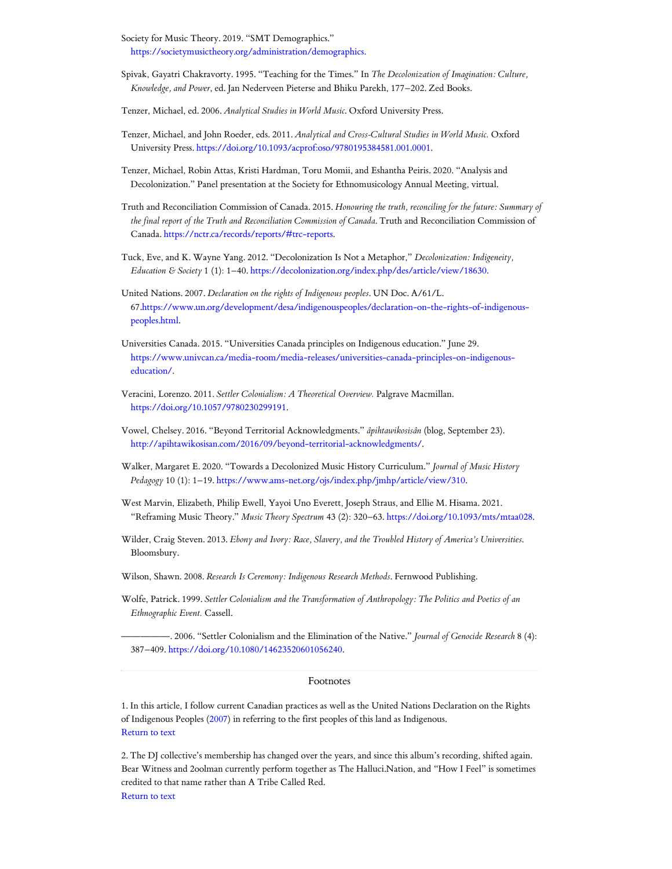<span id="page-14-14"></span>Society for Music Theory. 2019. "SMT Demographics." <https://societymusictheory.org/administration/demographics.>

- <span id="page-14-5"></span>Spivak, Gayatri Chakravorty. 1995. "Teaching for the Times." In *The Decolonization of Imagination: Culture, Knowledge, and Power*, ed. Jan Nederveen Pieterse and Bhiku Parekh, 177–202. Zed Books.
- <span id="page-14-16"></span>Tenzer, Michael, ed. 2006. *Analytical Studies in World Music*. Oxford University Press.
- <span id="page-14-17"></span>Tenzer, Michael, and John Roeder, eds. 2011. *Analytical and Cross-Cultural Studies in World Music.* Oxford University Press. [https://doi.org/10.1093/acprof:oso/9780195384581.001.0001.](https://doi.org/10.1093/acprof:oso/9780195384581.001.0001)
- <span id="page-14-15"></span>Tenzer, Michael, Robin Attas, Kristi Hardman, Toru Momii, and Eshantha Peiris. 2020. "Analysis and Decolonization." Panel presentation at the Society for Ethnomusicology Annual Meeting, virtual.
- <span id="page-14-2"></span>Truth and Reconciliation Commission of Canada. 2015. *Honouring the truth, reconciling for the future: Summary of the final report of the Truth and Reconciliation Commission of Canada*. Truth and Reconciliation Commission of Canada. [https://nctr.ca/records/reports/#trc-reports.](https://nctr.ca/records/reports/#trc-reports)
- <span id="page-14-4"></span>Tuck, Eve, and K. Wayne Yang. 2012. "Decolonization Is Not a Metaphor," *Decolonization: Indigeneity, Education & Society* 1 (1): 1–40. <https://decolonization.org/index.php/des/article/view/18630.>
- <span id="page-14-7"></span>United Nations. 2007. *Declaration on the rights of Indigenous peoples*. UN Doc. A/61/L. [67.https://www.un.org/development/desa/indigenouspeoples/declaration-on-the-rights-of-indigenous](https://www.un.org/development/desa/indigenouspeoples/declaration-on-the-rights-of-indigenous-peoples.html)peoples.html.
- <span id="page-14-9"></span>Universities Canada. 2015. "Universities Canada principles on Indigenous education." June 29. [https://www.univcan.ca/media-room/media-releases/universities-canada-principles-on-indigenous](https://www.univcan.ca/media-room/media-releases/universities-canada-principles-on-indigenous-education/)education/.
- <span id="page-14-10"></span>Veracini, Lorenzo. 2011. *Settler Colonialism: A Theoretical Overview.* Palgrave Macmillan. <https://doi.org/10.1057/9780230299191>.
- <span id="page-14-8"></span>Vowel, Chelsey. 2016. "Beyond Territorial Acknowledgments." *âpihtawikosisân* (blog, September 23). [http://apihtawikosisan.com/2016/09/beyond-territorial-acknowledgments/.](http://apihtawikosisan.com/2016/09/beyond-territorial-acknowledgments/)
- <span id="page-14-13"></span>Walker, Margaret E. 2020. "Towards a Decolonized Music History Curriculum." *Journal of Music History Pedagogy* 10 (1): 1–19. <https://www.ams-net.org/ojs/index.php/jmhp/article/view/310>.
- <span id="page-14-6"></span>West Marvin, Elizabeth, Philip Ewell, Yayoi Uno Everett, Joseph Straus, and Ellie M. Hisama. 2021. "Reframing Music Theory." *Music Theory Spectrum* 43 (2): 320–63. [https://doi.org/10.1093/mts/mtaa028.](https://doi.org/10.1093/mts/mtaa028)
- <span id="page-14-12"></span>Wilder, Craig Steven. 2013. *Ebony and Ivory: Race, Slavery, and the Troubled History of America's Universities*. Bloomsbury.
- <span id="page-14-18"></span>Wilson, Shawn. 2008. *Research Is Ceremony: Indigenous Research Methods*. Fernwood Publishing.
- <span id="page-14-11"></span>Wolfe, Patrick. 1999. *Settler Colonialism and the Transformation of Anthropology: The Politics and Poetics of an Ethnographic Event.* Cassell.

<span id="page-14-3"></span>—————. 2006. "Settler Colonialism and the Elimination of the Native." *Journal of Genocide Research* 8 (4): 387–409. <https://doi.org/10.1080/14623520601056240>.

## Footnotes

<span id="page-14-0"></span>1. In this article, I follow current Canadian practices as well as the United Nations Declaration on the Rights of Indigenous Peoples ([2007\)](#page-14-7) in referring to the first peoples of this land as Indigenous. [Return](#page-0-0) to text

<span id="page-14-1"></span>2. The DJ collective's membership has changed over the years, and since this album's recording, shifted again. Bear Witness and 2oolman currently perform together as The Halluci.Nation, and "How I Feel" is sometimes credited to that name rather than A Tribe Called Red. [Return](#page-0-1) to text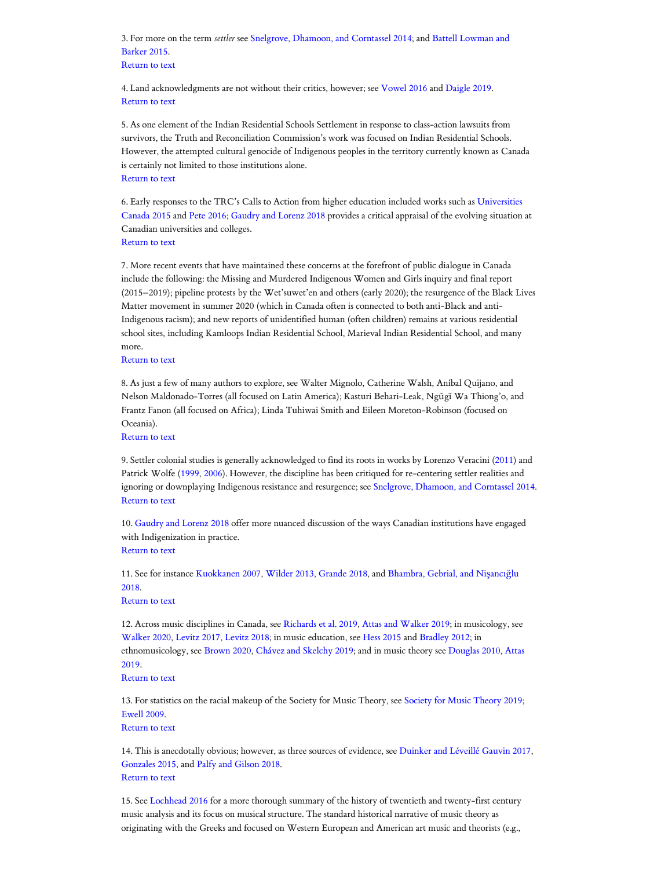<span id="page-15-0"></span>3. For more on the term *settler* see Snelgrove, Dhamoon, [and Corntassel](#page-13-3) 2014; and Battell Lowman and Barker 2015. [Return](#page-1-0) to text

<span id="page-15-1"></span>4. Land acknowledgments are not without their critics, however; see [Vowel](#page-14-8) 2016 and [Daigle](#page-11-2) 2019. [Return](#page-1-1) to text

<span id="page-15-2"></span>5. As one element of the Indian Residential Schools Settlement in response to class-action lawsuits from survivors, the Truth and Reconciliation Commission's work was focused on Indian Residential Schools. However, the attempted cultural genocide of Indigenous peoples in the territory currently known as Canada is certainly not limited to those institutions alone. [Return](#page-1-2) to text

<span id="page-15-3"></span>6. Early responses to the TRC's Calls to Action from higher education [included works](#page-14-9) such as Universities Canada 2015 and Pete [2016;](#page-13-4) Gaudry [and Lorenz](#page-12-9) 2018 provides a critical appraisal of the evolving situation at Canadian universities and colleges. [Return](#page-1-3) to text

<span id="page-15-4"></span>7. More recent events that have maintained these concerns at the forefront of public dialogue in Canada include the following: the Missing and Murdered Indigenous Women and Girls inquiry and final report (2015–2019); pipeline protests by the Wet'suwet'en and others (early 2020); the resurgence of the Black Lives Matter movement in summer 2020 (which in Canada often is connected to both anti-Black and anti-Indigenous racism); and new reports of unidentified human (often children) remains at various residential school sites, including Kamloops Indian Residential School, Marieval Indian Residential School, and many more.

## [Return](#page-1-4) to text

<span id="page-15-5"></span>8. As just a few of many authors to explore, see Walter Mignolo, Catherine Walsh, Aníbal Quijano, and Nelson Maldonado-Torres (all focused on Latin America); Kasturi Behari-Leak, Ngũgĩ Wa Thiong'o, and Frantz Fanon (all focused on Africa); Linda Tuhiwai Smith and Eileen Moreton-Robinson (focused on Oceania).

[Return](#page-1-5) to text

<span id="page-15-6"></span>9. Settler colonial studies is generally acknowledged to find its roots in works by Lorenzo Veracini ([2011\)](#page-14-10) and Patrick Wolfe ([1999,](#page-14-11) [2006\)](#page-14-3). However, the discipline has been critiqued for re-centering settler realities and ignoring or downplaying Indigenous resistance and resurgence; see Snelgrove, Dhamoon, [and Corntassel](#page-13-3) 2014. [Return](#page-1-6) to text

<span id="page-15-7"></span>10. Gaudry [and Lorenz](#page-12-9) 2018 offer more nuanced discussion of the ways Canadian institutions have engaged with Indigenization in practice.

[Return](#page-1-7) to text

<span id="page-15-8"></span>11. See for instance [Kuokkanen](#page-12-1) 2007, [Wilder](#page-14-12) 2013, [Grande](#page-12-2) 2018, [and Bhambra,](#page-11-3) Gebrial, and Nişancığlu 2018.

[Return](#page-2-0) to text

<span id="page-15-9"></span>12. Across music disciplines in Canada, see [Richards](#page-13-5) et al. 2019, Attas [and Walker](#page-10-7) 2019; in musicology, see [Walker](#page-14-13) 2020, [Levitz](#page-12-10) 2017, [Levitz](#page-12-11) 2018; in music education, see Hess [2015](#page-12-12) and [Bradley](#page-11-4) 2012; in [ethnomusicology,](#page-10-8) see [Brown](#page-11-5) 2020, Chávez [and Skelchy](#page-11-6) 2019; and in music theory see [Douglas](#page-11-7) 2010, Attas 2019.

[Return](#page-2-1) to text

<span id="page-15-10"></span>13. For statistics on the racial makeup of the Society for Music Theory, see Society for Music [Theory](#page-14-14) 2019; [Ewell](#page-11-8) 2009.

[Return](#page-2-2) to text

<span id="page-15-11"></span>14. This is anecdotally obvious; however, as three sources of evidence, see Duinker [and Léveillé](#page-11-9) Gauvin 2017, [Gonzales](#page-12-13) 2015, and Palfy [and Gilson](#page-13-6) 2018. [Return](#page-2-3) to text

<span id="page-15-12"></span>15. See [Lochhead 2016](#page-12-8) for a more thorough summary of the history of twentieth and twenty-first century music analysis and its focus on musical structure. The standard historical narrative of music theory as originating with the Greeks and focused on Western European and American art music and theorists (e.g.,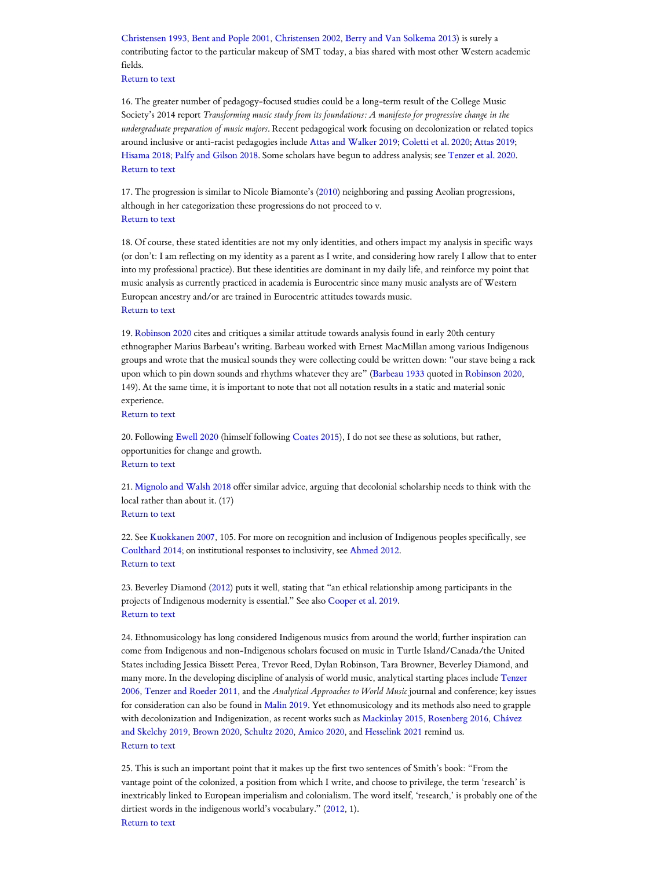[Christensen](#page-11-10) 1993, Bent [and Pople](#page-10-9) 2001, [Christensen](#page-11-11) 2002, Berry and Van [Solkema](#page-10-10) 2013) is surely a contributing factor to the particular makeup of SMT today, a bias shared with most other Western academic fields.

[Return](#page-2-4) to text

<span id="page-16-0"></span>16. The greater number of pedagogy-focused studies could be a long-term result of the College Music Society's 2014 report *Transforming music study from its foundations: A manifesto for progressive change in the undergraduate preparation of music majors*. Recent pedagogical work focusing on decolonization or related topics around inclusive or anti-racist pedagogies include Attas [and Walker](#page-10-7) 2019; [Coletti](#page-11-12) et al. 2020; [Attas](#page-10-8) 2019; [Hisama](#page-12-14) 2018; Palfy [and Gilson](#page-13-6) 2018. Some scholars have begun to address analysis; see [Tenzer](#page-14-15) et al. 2020. [Return](#page-2-5) to text

<span id="page-16-1"></span>17. The progression is similar to Nicole Biamonte's ([2010\)](#page-11-13) neighboring and passing Aeolian progressions, although in her categorization these progressions do not proceed to v. [Return](#page-3-0) to text

<span id="page-16-2"></span>18. Of course, these stated identities are not my only identities, and others impact my analysis in specific ways (or don't: I am reflecting on my identity as a parent as I write, and considering how rarely I allow that to enter into my professional practice). But these identities are dominant in my daily life, and reinforce my point that music analysis as currently practiced in academia is Eurocentric since many music analysts are of Western European ancestry and/or are trained in Eurocentric attitudes towards music. [Return](#page-4-0) to text

<span id="page-16-3"></span>19. [Robinson](#page-13-2) 2020 cites and critiques a similar attitude towards analysis found in early 20th century ethnographer Marius Barbeau's writing. Barbeau worked with Ernest MacMillan among various Indigenous groups and wrote that the musical sounds they were collecting could be written down: "our stave being a rack upon which to pin down sounds and rhythms whatever they are" ([Barbeau](#page-10-11) 1933 quoted in [Robinson](#page-13-2) 2020, 149). At the same time, it is important to note that not all notation results in a static and material sonic experience.

[Return](#page-4-1) to text

<span id="page-16-4"></span>20. Following [Ewell](#page-12-4) 2020 (himself following [Coates](#page-11-14) 2015), I do not see these as solutions, but rather, opportunities for change and growth. [Return](#page-5-0) to text

<span id="page-16-5"></span>21. Mignolo [and Walsh](#page-13-7) 2018 offer similar advice, arguing that decolonial scholarship needs to think with the local rather than about it. (17)

[Return](#page-5-1) to text

<span id="page-16-6"></span>22. See [Kuokkanen](#page-12-1) 2007, 105. For more on recognition and inclusion of Indigenous peoples specifically, see [Coulthard 2014;](#page-11-15) on institutional responses to inclusivity, see [Ahmed 2012](#page-10-12). [Return](#page-6-0) to text

<span id="page-16-7"></span>23. Beverley Diamond [\(2012](#page-11-16)) puts it well, stating that "an ethical relationship among participants in the projects of Indigenous modernity is essential." See also [Cooper](#page-11-17) et al. 2019. [Return](#page-6-1) to text

<span id="page-16-8"></span>24. Ethnomusicology has long considered Indigenous musics from around the world; further inspiration can come from Indigenous and non-Indigenous scholars focused on music in Turtle Island/Canada/the United States including Jessica Bissett Perea, Trevor Reed, Dylan Robinson, Tara Browner, Beverley Diamond, and many more. In the developing discipline of analysis of world music, analytical starting places include Tenzer 2006, Tenzer [and Roeder](#page-14-17) 2011, and the *[Analytical Approaches to World Music](#page-14-16)* journal and conference; key issues for consideration can also be found in [Malin](#page-13-8) 2019. Yet ethnomusicology and its methods also need to grapple with decolonization and Indigenization, as recent works such as [Mackinlay](#page-13-9) 2015, [Rosenberg](#page-13-10) 2016, Chávez and Skelchy 2019, [Brown](#page-11-5) 2020, [Schultz](#page-13-11) 2020, [Amico](#page-10-13) 2020, [and Hesselink 2021](#page-11-6) remind us. [Return](#page-6-2) to text

<span id="page-16-9"></span>25. This is such an important point that it makes up the first two sentences of Smith's book: "From the vantage point of the colonized, a position from which I write, and choose to privilege, the term 'research' is inextricably linked to European imperialism and colonialism. The word itself, 'research,' is probably one of the dirtiest words in the indigenous world's vocabulary." ([2012](#page-13-0), 1). [Return](#page-6-3) to text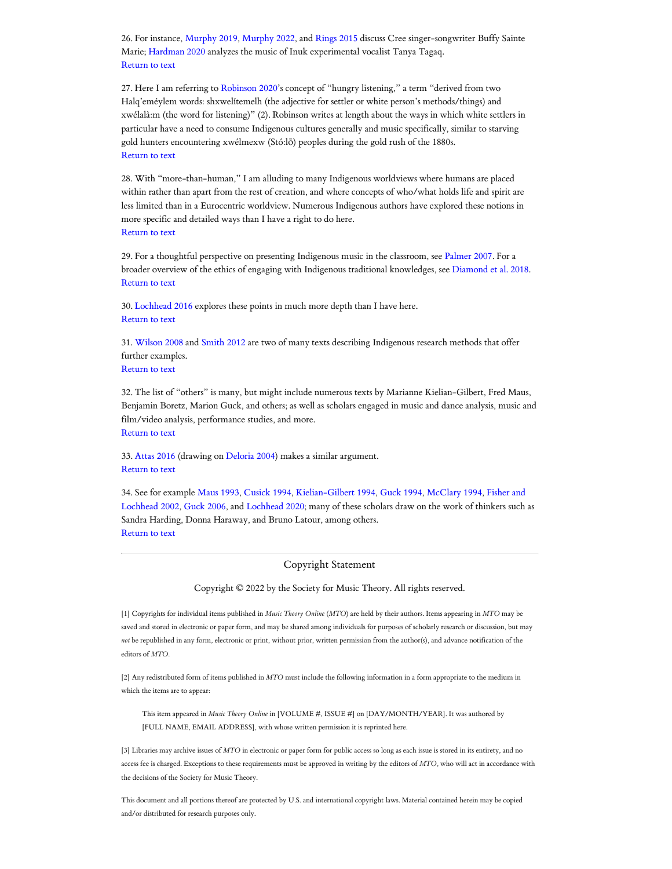<span id="page-17-0"></span>26. For instance, [Murphy](#page-13-12) 2019, [Murphy](#page-13-13) 2022, and [Rings](#page-13-14) 2015 discuss Cree singer-songwriter Buffy Sainte Marie; [Hardman](#page-12-16) 2020 analyzes the music of Inuk experimental vocalist Tanya Tagaq. [Return](#page-6-4) to text

<span id="page-17-1"></span>27. Here I am referring to [Robinson](#page-13-2) 2020's concept of "hungry listening," a term "derived from two Halq'eméylem words: shxwelítemelh (the adjective for settler or white person's methods/things) and xwélalà:m (the word for listening)" (2). Robinson writes at length about the ways in which white settlers in particular have a need to consume Indigenous cultures generally and music specifically, similar to starving gold hunters encountering xwélmexw (Stó:lō) peoples during the gold rush of the 1880s. [Return](#page-7-0) to text

<span id="page-17-2"></span>28. With "more-than-human," I am alluding to many Indigenous worldviews where humans are placed within rather than apart from the rest of creation, and where concepts of who/what holds life and spirit are less limited than in a Eurocentric worldview. Numerous Indigenous authors have explored these notions in more specific and detailed ways than I have a right to do here. [Return](#page-7-1) to text

<span id="page-17-3"></span>29. For a thoughtful perspective on presenting Indigenous music in the classroom, see [Palmer](#page-13-15) 2007. For a broader overview of the ethics of engaging with Indigenous traditional knowledges, see [Diamond et](#page-11-18) al. 2018. [Return](#page-7-2) to text

<span id="page-17-4"></span>30. [Lochhead 2016](#page-12-8) explores these points in much more depth than I have here. [Return](#page-7-3) to text

<span id="page-17-5"></span>31. [Wilson](#page-14-18) 2008 and [Smith](#page-13-0) 2012 are two of many texts describing Indigenous research methods that offer further examples.

[Return](#page-7-4) to text

<span id="page-17-6"></span>32. The list of "others" is many, but might include numerous texts by Marianne Kielian-Gilbert, Fred Maus, Benjamin Boretz, Marion Guck, and others; as well as scholars engaged in music and dance analysis, music and film/video analysis, performance studies, and more. [Return](#page-7-5) to text

<span id="page-17-7"></span>33. [Attas](#page-10-14) 2016 (drawing on [Deloria](#page-11-19) 2004) makes a similar argument. [Return](#page-7-6) to text

<span id="page-17-8"></span>34. See for example [Maus](#page-13-16) 1993, [Cusick 1994,](#page-11-20) [Kielian-Gilbert](#page-12-17) 1994, [Guck 1994](#page-12-18), [McClary](#page-13-17) 1994, Fisher and Lochhead 2002, [Guck 2006](#page-12-20), [and Lochhead 2020;](#page-12-19) many of these scholars draw on the work of thinkers such as Sandra Harding, Donna Haraway, and Bruno Latour, among others. [Return](#page-8-0) to text

Copyright Statement

Copyright © 2022 by the Society for Music Theory. All rights reserved.

[1] Copyrights for individual items published in *Music Theory Online* (*MTO*) are held by their authors. Items appearing in *MTO* may be saved and stored in electronic or paper form, and may be shared among individuals for purposes of scholarly research or discussion, but may *not* be republished in any form, electronic or print, without prior, written permission from the author(s), and advance notification of the editors of *MTO.*

[2] Any redistributed form of items published in *MTO* must include the following information in a form appropriate to the medium in which the items are to appear:

This item appeared in *Music Theory Online* in [VOLUME #, ISSUE #] on [DAY/MONTH/YEAR]. It was authored by [FULL NAME, EMAIL ADDRESS], with whose written permission it is reprinted here.

[3] Libraries may archive issues of *MTO* in electronic or paper form for public access so long as each issue is stored in its entirety, and no access fee is charged. Exceptions to these requirements must be approved in writing by the editors of *MTO,* who will act in accordance with the decisions of the Society for Music Theory.

This document and all portions thereof are protected by U.S. and international copyright laws. Material contained herein may be copied and/or distributed for research purposes only.